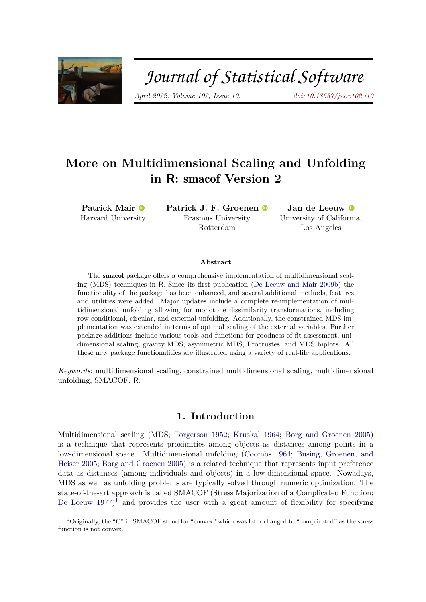

# Journal of Statistical Software

*April 2022, Volume 102, Issue 10. [doi: 10.18637/jss.v102.i10](https://doi.org/10.18637/jss.v102.i10)*

# **More on Multidimensional Scaling and Unfolding in R:** smacof **Version 2**

**Patrick Mair** Harvard University **Patrick J. F. Groenen** Erasmus University Rotterdam

**Jan de Leeuw** University of California, Los Angeles

#### **Abstract**

The smacof package offers a comprehensive implementation of multidimensional scaling (MDS) techniques in R. Since its first publication [\(De Leeuw and Mair](#page-42-0) [2009b\)](#page-42-0) the functionality of the package has been enhanced, and several additional methods, features and utilities were added. Major updates include a complete re-implementation of multidimensional unfolding allowing for monotone dissimilarity transformations, including row-conditional, circular, and external unfolding. Additionally, the constrained MDS implementation was extended in terms of optimal scaling of the external variables. Further package additions include various tools and functions for goodness-of-fit assessment, unidimensional scaling, gravity MDS, asymmetric MDS, Procrustes, and MDS biplots. All these new package functionalities are illustrated using a variety of real-life applications.

*Keywords*: multidimensional scaling, constrained multidimensional scaling, multidimensional unfolding, SMACOF, R.

### **1. Introduction**

Multidimensional scaling (MDS; [Torgerson](#page-45-0) [1952;](#page-45-0) [Kruskal](#page-43-0) [1964;](#page-43-0) [Borg and Groenen](#page-40-0) [2005\)](#page-40-0) is a technique that represents proximities among objects as distances among points in a low-dimensional space. Multidimensional unfolding [\(Coombs](#page-41-0) [1964;](#page-41-0) [Busing, Groenen, and](#page-41-1) [Heiser](#page-41-1) [2005;](#page-41-1) [Borg and Groenen](#page-40-0) [2005\)](#page-40-0) is a related technique that represents input preference data as distances (among individuals and objects) in a low-dimensional space. Nowadays, MDS as well as unfolding problems are typically solved through numeric optimization. The state-of-the-art approach is called SMACOF (Stress Majorization of a Complicated Function; [De Leeuw](#page-41-2)  $1977$  $1977$ <sup>1</sup> and provides the user with a great amount of flexibility for specifying

<span id="page-0-0"></span><sup>&</sup>lt;sup>1</sup>Originally, the "C" in SMACOF stood for "convex" which was later changed to "complicated" as the stress function is not convex.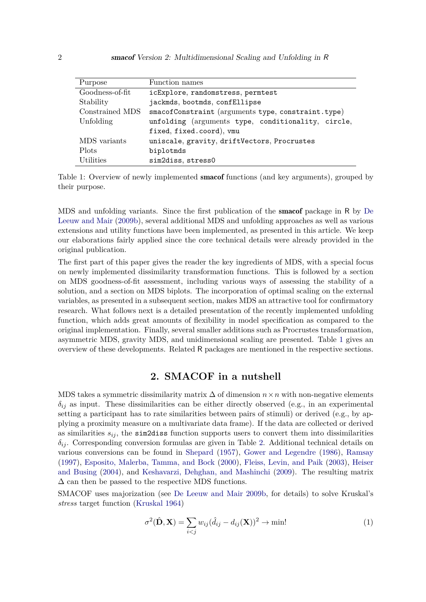| Purpose         | Function names                                     |  |  |
|-----------------|----------------------------------------------------|--|--|
| Goodness-of-fit | icExplore, randomstress, permtest                  |  |  |
| Stability       | jackmds, bootmds, confEllipse                      |  |  |
| Constrained MDS | smacofConstraint (arguments type, constraint.type) |  |  |
| Unfolding       | unfolding (arguments type, conditionality, circle, |  |  |
|                 | fixed, fixed.coord), vmu                           |  |  |
| MDS variants    | uniscale, gravity, driftVectors, Procrustes        |  |  |
| <b>Plots</b>    | biplotmds                                          |  |  |
| Utilities       | sim2diss, stress0                                  |  |  |

<span id="page-1-0"></span>Table 1: Overview of newly implemented smacof functions (and key arguments), grouped by their purpose.

MDS and unfolding variants. Since the first publication of the smacof package in R by [De](#page-42-0) [Leeuw and Mair](#page-42-0) [\(2009b\)](#page-42-0), several additional MDS and unfolding approaches as well as various extensions and utility functions have been implemented, as presented in this article. We keep our elaborations fairly applied since the core technical details were already provided in the original publication.

The first part of this paper gives the reader the key ingredients of MDS, with a special focus on newly implemented dissimilarity transformation functions. This is followed by a section on MDS goodness-of-fit assessment, including various ways of assessing the stability of a solution, and a section on MDS biplots. The incorporation of optimal scaling on the external variables, as presented in a subsequent section, makes MDS an attractive tool for confirmatory research. What follows next is a detailed presentation of the recently implemented unfolding function, which adds great amounts of flexibility in model specification as compared to the original implementation. Finally, several smaller additions such as Procrustes transformation, asymmetric MDS, gravity MDS, and unidimensional scaling are presented. Table [1](#page-1-0) gives an overview of these developments. Related R packages are mentioned in the respective sections.

# **2. SMACOF in a nutshell**

<span id="page-1-2"></span>MDS takes a symmetric dissimilarity matrix  $\Delta$  of dimension *n* × *n* with non-negative elements  $\delta_{ij}$  as input. These dissimilarities can be either directly observed (e.g., in an experimental setting a participant has to rate similarities between pairs of stimuli) or derived (e.g., by applying a proximity measure on a multivariate data frame). If the data are collected or derived as similarities  $s_{ij}$ , the sim2diss function supports users to convert them into dissimilarities *δij* . Corresponding conversion formulas are given in Table [2.](#page-2-0) Additional technical details on various conversions can be found in [Shepard](#page-44-0) [\(1957\)](#page-44-0), [Gower and Legendre](#page-42-1) [\(1986\)](#page-42-1), [Ramsay](#page-44-1) [\(1997\)](#page-44-1), [Esposito, Malerba, Tamma, and Bock](#page-42-2) [\(2000\)](#page-42-2), [Fleiss, Levin, and Paik](#page-42-3) [\(2003\)](#page-42-3), [Heiser](#page-43-1) [and Busing](#page-43-1) [\(2004\)](#page-43-1), and [Keshavarzi, Dehghan, and Mashinchi](#page-43-2) [\(2009\)](#page-43-2). The resulting matrix  $\Delta$  can then be passed to the respective MDS functions.

SMACOF uses majorization (see [De Leeuw and Mair](#page-42-0) [2009b,](#page-42-0) for details) to solve Kruskal's *stress* target function [\(Kruskal](#page-43-0) [1964\)](#page-43-0)

<span id="page-1-1"></span>
$$
\sigma^{2}(\hat{\mathbf{D}}, \mathbf{X}) = \sum_{i < j} w_{ij} (\hat{d}_{ij} - d_{ij}(\mathbf{X}))^{2} \to \text{min}! \tag{1}
$$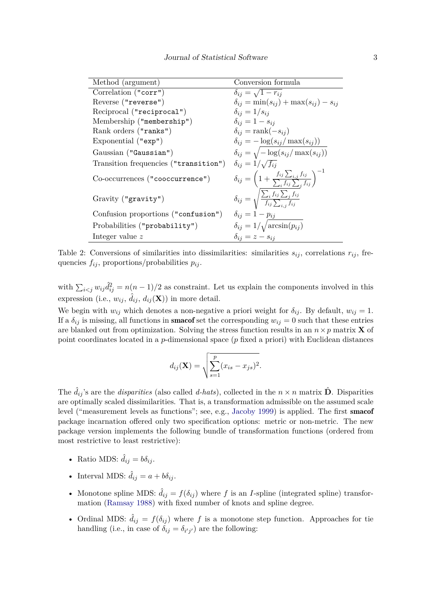| Method (argument)                     | Conversion formula                                                                                |
|---------------------------------------|---------------------------------------------------------------------------------------------------|
| Correlation ("corr")                  | $\delta_{ij} = \sqrt{1-r_{ij}}$                                                                   |
| Reverse ("reverse")                   | $\delta_{ij} = \min(s_{ij}) + \max(s_{ij}) - s_{ij}$                                              |
| Reciprocal ("reciprocal")             | $\delta_{ij} = 1/s_{ij}$                                                                          |
| Membership ("membership")             | $\delta_{ij} = 1 - s_{ij}$                                                                        |
| Rank orders ("ranks")                 | $\delta_{ij} = \text{rank}(-s_{ij})$                                                              |
| Exponential $("exp")$                 | $\delta_{ij} = -\log(s_{ij}/\max(s_{ij}))$                                                        |
| Gaussian ("Gaussian")                 | $\delta_{ij} = \sqrt{-\log(s_{ij}/\max(s_{ij}))}$                                                 |
| Transition frequencies ("transition") | $\delta_{ij} = 1/\sqrt{f_{ii}}$                                                                   |
| Co-occurrences ("cooccurrence")       | $\delta_{ij} = \left(1 + \frac{f_{ij}\sum_{i,j}f_{ij}}{\sum_{i}f_{ij}\sum_{i}f_{ij}}\right)^{-1}$ |
| Gravity ("gravity")                   | $\delta_{ij} = \sqrt{\frac{\sum_i f_{ij} \sum_j f_{ij}}{f_{ij} \sum_{i,j} f_{ij}}}$               |
| Confusion proportions ("confusion")   | $\delta_{ij} = 1 - p_{ij}$                                                                        |
| Probabilities ("probability")         | $\delta_{ij} = 1/\sqrt{\arcsin(p_{ij})}$                                                          |
| Integer value $z$                     | $\delta_{ij} = z - s_{ij}$                                                                        |

<span id="page-2-0"></span>Table 2: Conversions of similarities into dissimilarities: similarities  $s_{ij}$ , correlations  $r_{ij}$ , frequencies  $f_{ij}$ , proportions/probabilities  $p_{ij}$ .

with  $\sum_{i < j} w_{ij} \hat{d}_{ij}^2 = n(n-1)/2$  as constraint. Let us explain the components involved in this expression (i.e.,  $w_{ij}$ ,  $\hat{d}_{ij}$ ,  $d_{ij}(\mathbf{X})$ ) in more detail.

We begin with  $w_{ij}$  which denotes a non-negative a priori weight for  $\delta_{ij}$ . By default,  $w_{ij} = 1$ . If a  $\delta_{ij}$  is missing, all functions in **smacof** set the corresponding  $w_{ij} = 0$  such that these entries are blanked out from optimization. Solving the stress function results in an  $n \times p$  matrix **X** of point coordinates located in a *p*-dimensional space (*p* fixed a priori) with Euclidean distances

$$
d_{ij}(\mathbf{X}) = \sqrt{\sum_{s=1}^{p} (x_{is} - x_{js})^2}.
$$

The  $\hat{d}_{ij}$ 's are the *disparities* (also called *d-hats*), collected in the  $n \times n$  matrix  $\hat{D}$ . Disparities are optimally scaled dissimilarities. That is, a transformation admissible on the assumed scale level ("measurement levels as functions"; see, e.g., [Jacoby](#page-43-3) [1999\)](#page-43-3) is applied. The first smacof package incarnation offered only two specification options: metric or non-metric. The new package version implements the following bundle of transformation functions (ordered from most restrictive to least restrictive):

- Ratio MDS:  $\hat{d}_{ij} = b\delta_{ij}$ .
- Interval MDS:  $\hat{d}_{ij} = a + b\delta_{ij}$ .
- Monotone spline MDS:  $\hat{d}_{ij} = f(\delta_{ij})$  where f is an *I*-spline (integrated spline) transformation [\(Ramsay](#page-44-2) [1988\)](#page-44-2) with fixed number of knots and spline degree.
- Ordinal MDS:  $\hat{d}_{ij} = f(\delta_{ij})$  where f is a monotone step function. Approaches for tie handling (i.e., in case of  $\delta_{ij} = \delta_{i'j'}$ ) are the following: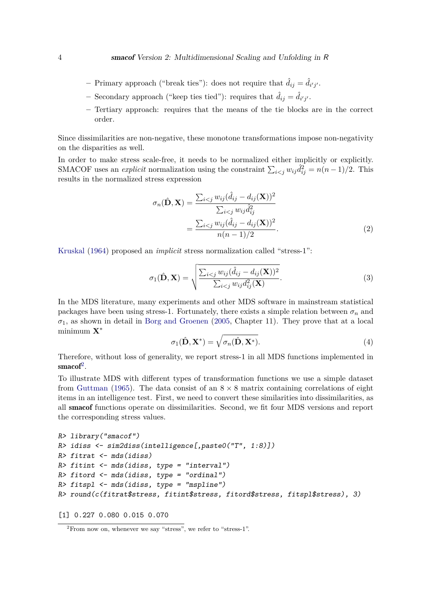- $-$  Primary approach ("break ties"): does not require that  $\hat{d}_{ij} = \hat{d}_{i'j'}$ .
- $-$  Secondary approach ("keep ties tied"): requires that  $\hat{d}_{ij} = \hat{d}_{i'j'}$ .
- **–** Tertiary approach: requires that the means of the tie blocks are in the correct order.

Since dissimilarities are non-negative, these monotone transformations impose non-negativity on the disparities as well.

In order to make stress scale-free, it needs to be normalized either implicitly or explicitly. SMACOF uses an *explicit* normalization using the constraint  $\sum_{i < j} w_{ij} \hat{d}_{ij}^2 = n(n-1)/2$ . This results in the normalized stress expression

$$
\sigma_n(\hat{\mathbf{D}}, \mathbf{X}) = \frac{\sum_{i < j} w_{ij} (\hat{d}_{ij} - d_{ij}(\mathbf{X}))^2}{\sum_{i < j} w_{ij} \hat{d}_{ij}^2}
$$
\n
$$
= \frac{\sum_{i < j} w_{ij} (\hat{d}_{ij} - d_{ij}(\mathbf{X}))^2}{n(n-1)/2}.\tag{2}
$$

[Kruskal](#page-43-0) [\(1964\)](#page-43-0) proposed an *implicit* stress normalization called "stress-1":

$$
\sigma_1(\hat{\mathbf{D}}, \mathbf{X}) = \sqrt{\frac{\sum_{i < j} w_{ij} (\hat{d}_{ij} - d_{ij}(\mathbf{X}))^2}{\sum_{i < j} w_{ij} d_{ij}^2(\mathbf{X})}}.
$$
\n
$$
(3)
$$

In the MDS literature, many experiments and other MDS software in mainstream statistical packages have been using stress-1. Fortunately, there exists a simple relation between  $\sigma_n$  and  $\sigma_1$ , as shown in detail in [Borg and Groenen](#page-40-0) [\(2005,](#page-40-0) Chapter 11). They prove that at a local minimum **X**<sup>∗</sup>

$$
\sigma_1(\hat{\mathbf{D}}, \mathbf{X}^*) = \sqrt{\sigma_n(\hat{\mathbf{D}}, \mathbf{X}^*)}.
$$
\n(4)

Therefore, without loss of generality, we report stress-1 in all MDS functions implemented in  $\mathrm{smacof}^2$  $\mathrm{smacof}^2$ .

To illustrate MDS with different types of transformation functions we use a simple dataset from [Guttman](#page-42-4) [\(1965\)](#page-42-4). The data consist of an  $8 \times 8$  matrix containing correlations of eight items in an intelligence test. First, we need to convert these similarities into dissimilarities, as all smacof functions operate on dissimilarities. Second, we fit four MDS versions and report the corresponding stress values.

```
R> library("smacof")
R> idiss <- sim2diss(intelligence[,paste0("T", 1:8)])
R> fitrat \leq mds(idiss)
R> fitint \leq mds(idiss, type = "interval")
R> fitord \leq mds(idiss, type = "ordinal")
R> fitspl \leq mds(idiss, type = "mspline")
R> round(c(fitrat$stress, fitint$stress, fitord$stress, fitspl$stress), 3)
```
[1] 0.227 0.080 0.015 0.070

<span id="page-3-0"></span> ${}^{2}$ From now on, whenever we say "stress", we refer to "stress-1".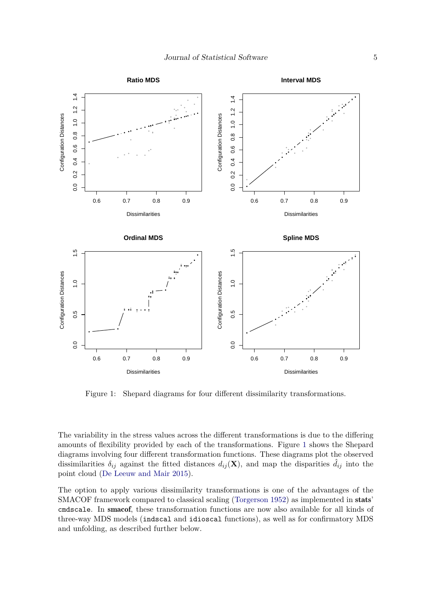

<span id="page-4-0"></span>Figure 1: Shepard diagrams for four different dissimilarity transformations.

The variability in the stress values across the different transformations is due to the differing amounts of flexibility provided by each of the transformations. Figure [1](#page-4-0) shows the Shepard diagrams involving four different transformation functions. These diagrams plot the observed dissimilarities  $\delta_{ij}$  against the fitted distances  $d_{ij}(\mathbf{X})$ , and map the disparities  $d_{ij}$  into the point cloud [\(De Leeuw and Mair](#page-42-5) [2015\)](#page-42-5).

The option to apply various dissimilarity transformations is one of the advantages of the SMACOF framework compared to classical scaling [\(Torgerson](#page-45-0) [1952\)](#page-45-0) as implemented in stats' cmdscale. In smacof, these transformation functions are now also available for all kinds of three-way MDS models (indscal and idioscal functions), as well as for confirmatory MDS and unfolding, as described further below.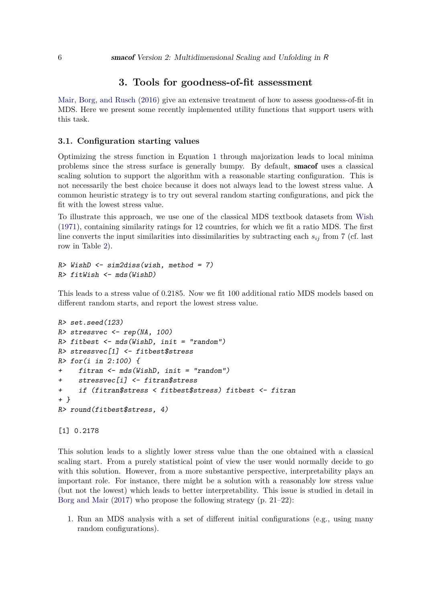## **3. Tools for goodness-of-fit assessment**

[Mair, Borg, and Rusch](#page-43-4) [\(2016\)](#page-43-4) give an extensive treatment of how to assess goodness-of-fit in MDS. Here we present some recently implemented utility functions that support users with this task.

#### **3.1. Configuration starting values**

Optimizing the stress function in Equation [1](#page-1-1) through majorization leads to local minima problems since the stress surface is generally bumpy. By default, smacof uses a classical scaling solution to support the algorithm with a reasonable starting configuration. This is not necessarily the best choice because it does not always lead to the lowest stress value. A common heuristic strategy is to try out several random starting configurations, and pick the fit with the lowest stress value.

To illustrate this approach, we use one of the classical MDS textbook datasets from [Wish](#page-45-1) [\(1971\)](#page-45-1), containing similarity ratings for 12 countries, for which we fit a ratio MDS. The first line converts the input similarities into dissimilarities by subtracting each  $s_{ij}$  from 7 (cf. last row in Table [2\)](#page-2-0).

```
R> WishD <- sim2diss(wish, method = 7)
R> fitWish <- mds(WishD)
```
This leads to a stress value of 0.2185. Now we fit 100 additional ratio MDS models based on different random starts, and report the lowest stress value.

```
R> set.seed(123)
R> stressvec <- rep(NA, 100)
R> fitbest \leftarrow mds(WishD, init = "random")
R> stressvec[1] <- fitbest$stress
R> for(i in 2:100) {
+ fitran <- mds(WishD, init = "random")
+ stressvec[i] <- fitran$stress
+ if (fitran$stress < fitbest$stress) fitbest <- fitran
+ }
R> round(fitbest$stress, 4)
```
[1] 0.2178

This solution leads to a slightly lower stress value than the one obtained with a classical scaling start. From a purely statistical point of view the user would normally decide to go with this solution. However, from a more substantive perspective, interpretability plays an important role. For instance, there might be a solution with a reasonably low stress value (but not the lowest) which leads to better interpretability. This issue is studied in detail in [Borg and Mair](#page-40-1) [\(2017\)](#page-40-1) who propose the following strategy (p. 21–22):

1. Run an MDS analysis with a set of different initial configurations (e.g., using many random configurations).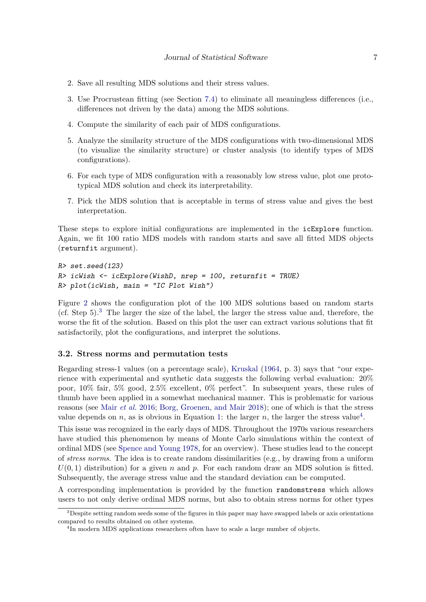- 2. Save all resulting MDS solutions and their stress values.
- 3. Use Procrustean fitting (see Section [7.4\)](#page-36-0) to eliminate all meaningless differences (i.e., differences not driven by the data) among the MDS solutions.
- 4. Compute the similarity of each pair of MDS configurations.
- 5. Analyze the similarity structure of the MDS configurations with two-dimensional MDS (to visualize the similarity structure) or cluster analysis (to identify types of MDS configurations).
- 6. For each type of MDS configuration with a reasonably low stress value, plot one prototypical MDS solution and check its interpretability.
- 7. Pick the MDS solution that is acceptable in terms of stress value and gives the best interpretation.

These steps to explore initial configurations are implemented in the icExplore function. Again, we fit 100 ratio MDS models with random starts and save all fitted MDS objects (returnfit argument).

```
R> set.seed(123)
R> icWish <- icExplore(WishD, nrep = 100, returnfit = TRUE)
R> plot(icWish, main = "IC Plot Wish")
```
Figure [2](#page-7-0) shows the configuration plot of the 100 MDS solutions based on random starts (cf. Step  $5$ ).<sup>[3](#page-6-0)</sup> The larger the size of the label, the larger the stress value and, therefore, the worse the fit of the solution. Based on this plot the user can extract various solutions that fit satisfactorily, plot the configurations, and interpret the solutions.

#### **3.2. Stress norms and permutation tests**

Regarding stress-1 values (on a percentage scale), [Kruskal](#page-43-0) [\(1964,](#page-43-0) p. 3) says that "our experience with experimental and synthetic data suggests the following verbal evaluation: 20% poor, 10% fair, 5% good, 2.5% excellent, 0% perfect". In subsequent years, these rules of thumb have been applied in a somewhat mechanical manner. This is problematic for various reasons (see Mair *[et al.](#page-43-4)* [2016;](#page-43-4) [Borg, Groenen, and Mair](#page-40-2) [2018\)](#page-40-2); one of which is that the stress value depends on *n*, as is obvious in Equation [1:](#page-1-1) the larger *n*, the larger the stress value<sup>[4](#page-6-1)</sup>.

This issue was recognized in the early days of MDS. Throughout the 1970s various researchers have studied this phenomenon by means of Monte Carlo simulations within the context of ordinal MDS (see [Spence and Young](#page-44-3) [1978,](#page-44-3) for an overview). These studies lead to the concept of *stress norms*. The idea is to create random dissimilarities (e.g., by drawing from a uniform  $U(0,1)$  distribution) for a given *n* and *p*. For each random draw an MDS solution is fitted. Subsequently, the average stress value and the standard deviation can be computed.

A corresponding implementation is provided by the function randomstress which allows users to not only derive ordinal MDS norms, but also to obtain stress norms for other types

<span id="page-6-0"></span><sup>&</sup>lt;sup>3</sup>Despite setting random seeds some of the figures in this paper may have swapped labels or axis orientations compared to results obtained on other systems.

<span id="page-6-1"></span><sup>&</sup>lt;sup>4</sup>In modern MDS applications researchers often have to scale a large number of objects.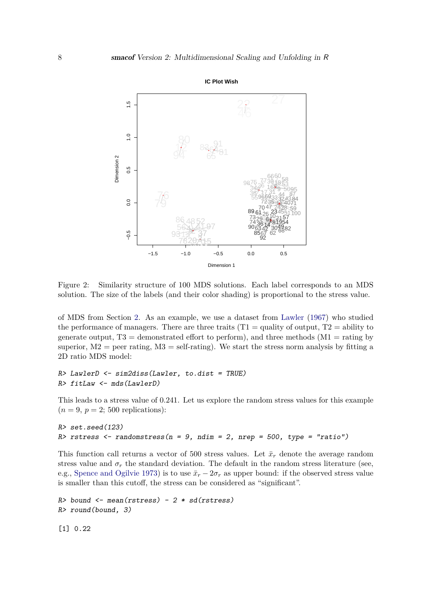

<span id="page-7-0"></span>Figure 2: Similarity structure of 100 MDS solutions. Each label corresponds to an MDS solution. The size of the labels (and their color shading) is proportional to the stress value.

of MDS from Section [2.](#page-1-2) As an example, we use a dataset from [Lawler](#page-43-5) [\(1967\)](#page-43-5) who studied the performance of managers. There are three traits  $(T1 = \text{quality of output}, T2 = \text{ability to}$ generate output,  $T3 =$  demonstrated effort to perform), and three methods (M1 = rating by superior,  $M2$  = peer rating,  $M3$  = self-rating). We start the stress norm analysis by fitting a 2D ratio MDS model:

```
R> LawlerD <- sim2diss(Lawler, to.dist = TRUE)
R> fitLaw <- mds(LawlerD)
```
This leads to a stress value of 0.241. Let us explore the random stress values for this example  $(n=9, p=2; 500$  replications):

```
R> set.seed(123)
R> rstress <- randomstress(n = 9, ndim = 2, nrep = 500, type = "ratio")
```
This function call returns a vector of 500 stress values. Let  $\bar{x}_r$  denote the average random stress value and  $\sigma_r$  the standard deviation. The default in the random stress literature (see, e.g., [Spence and Ogilvie](#page-44-4) [1973\)](#page-44-4) is to use  $\bar{x}_r - 2\sigma_r$  as upper bound: if the observed stress value is smaller than this cutoff, the stress can be considered as "significant".

```
R> bound \leq mean(rstress) - 2 * sd(rstress)
R> round(bound, 3)
```
[1] 0.22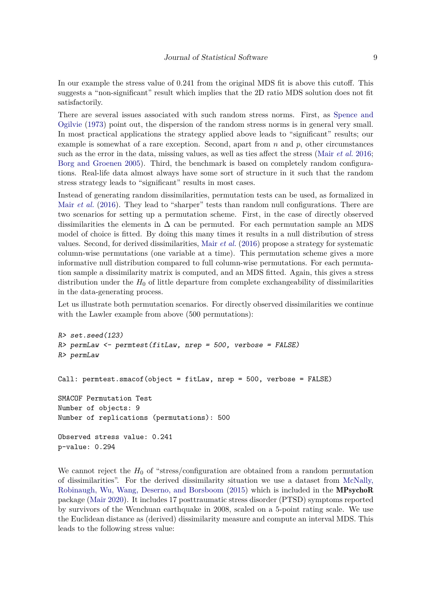In our example the stress value of 0.241 from the original MDS fit is above this cutoff. This suggests a "non-significant" result which implies that the 2D ratio MDS solution does not fit satisfactorily.

There are several issues associated with such random stress norms. First, as [Spence and](#page-44-4) [Ogilvie](#page-44-4) [\(1973\)](#page-44-4) point out, the dispersion of the random stress norms is in general very small. In most practical applications the strategy applied above leads to "significant" results; our example is somewhat of a rare exception. Second, apart from *n* and *p*, other circumstances such as the error in the data, missing values, as well as ties affect the stress (Mair *[et al.](#page-43-4)* [2016;](#page-43-4) [Borg and Groenen](#page-40-0) [2005\)](#page-40-0). Third, the benchmark is based on completely random configurations. Real-life data almost always have some sort of structure in it such that the random stress strategy leads to "significant" results in most cases.

Instead of generating random dissimilarities, permutation tests can be used, as formalized in Mair *[et al.](#page-43-4)* [\(2016\)](#page-43-4). They lead to "sharper" tests than random null configurations. There are two scenarios for setting up a permutation scheme. First, in the case of directly observed dissimilarities the elements in  $\Delta$  can be permuted. For each permutation sample an MDS model of choice is fitted. By doing this many times it results in a null distribution of stress values. Second, for derived dissimilarities, Mair *[et al.](#page-43-4)* [\(2016\)](#page-43-4) propose a strategy for systematic column-wise permutations (one variable at a time). This permutation scheme gives a more informative null distribution compared to full column-wise permutations. For each permutation sample a dissimilarity matrix is computed, and an MDS fitted. Again, this gives a stress distribution under the  $H_0$  of little departure from complete exchangeability of dissimilarities in the data-generating process.

Let us illustrate both permutation scenarios. For directly observed dissimilarities we continue with the Lawler example from above  $(500 \text{ permutations})$ :

```
R> set.seed(123)
R> permLaw <- permtest(fitLaw, nrep = 500, verbose = FALSE)
R> permLaw
Call: permtest.smacof(object = fitLaw, nrep = 500, verbose = FALSE)
SMACOF Permutation Test
Number of objects: 9
Number of replications (permutations): 500
Observed stress value: 0.241
p-value: 0.294
```
We cannot reject the  $H_0$  of "stress/configuration are obtained from a random permutation of dissimilarities". For the derived dissimilarity situation we use a dataset from [McNally,](#page-44-5) [Robinaugh, Wu, Wang, Deserno, and Borsboom](#page-44-5) [\(2015\)](#page-44-5) which is included in the MPsychoR package [\(Mair](#page-43-6) [2020\)](#page-43-6). It includes 17 posttraumatic stress disorder (PTSD) symptoms reported by survivors of the Wenchuan earthquake in 2008, scaled on a 5-point rating scale. We use the Euclidean distance as (derived) dissimilarity measure and compute an interval MDS. This leads to the following stress value: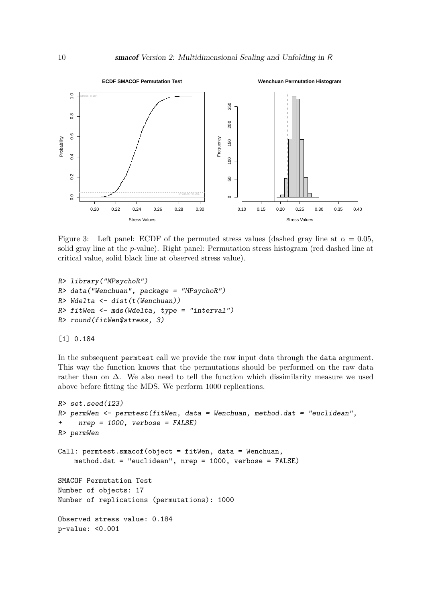

<span id="page-9-0"></span>Figure 3: Left panel: ECDF of the permuted stress values (dashed gray line at  $\alpha = 0.05$ , solid gray line at the *p*-value). Right panel: Permutation stress histogram (red dashed line at critical value, solid black line at observed stress value).

```
R> library("MPsychoR")
R> data("Wenchuan", package = "MPsychoR")
R> Wdelta <- dist(t(Wenchuan))
R> fitWen <- mds(Wdelta, type = "interval")
R> round(fitWen$stress, 3)
```
#### [1] 0.184

In the subsequent permtest call we provide the raw input data through the data argument. This way the function knows that the permutations should be performed on the raw data rather than on  $\Delta$ . We also need to tell the function which dissimilarity measure we used above before fitting the MDS. We perform 1000 replications.

```
R> set.seed(123)
R> permWen <- permtest(fitWen, data = Wenchuan, method.dat = "euclidean",
+ nrep = 1000, verbose = FALSE)
R> permWen
Call: permtest.smacof(object = fitWen, data = Wenchuan,
    method.dat = "euclidean", nrep = 1000, verbose = FALSE)
SMACOF Permutation Test
Number of objects: 17
Number of replications (permutations): 1000
Observed stress value: 0.184
p-value: <0.001
```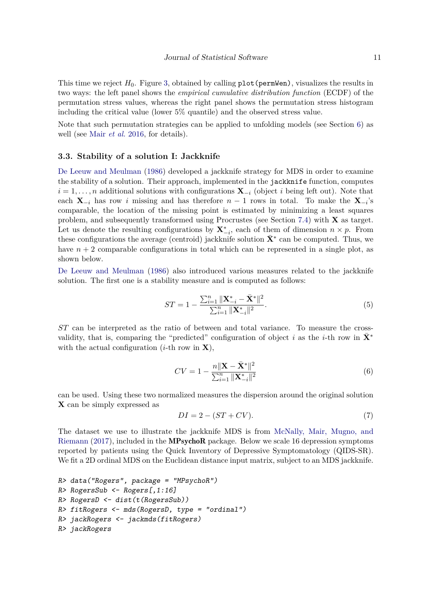This time we reject  $H_0$ . Figure [3,](#page-9-0) obtained by calling  $plot(permWen)$ , visualizes the results in two ways: the left panel shows the *empirical cumulative distribution function* (ECDF) of the permutation stress values, whereas the right panel shows the permutation stress histogram including the critical value (lower 5% quantile) and the observed stress value.

Note that such permutation strategies can be applied to unfolding models (see Section [6\)](#page-22-0) as well (see Mair *[et al.](#page-43-4)* [2016,](#page-43-4) for details).

#### **3.3. Stability of a solution I: Jackknife**

[De Leeuw and Meulman](#page-42-6) [\(1986\)](#page-42-6) developed a jackknife strategy for MDS in order to examine the stability of a solution. Their approach, implemented in the jackknife function, computes  $i = 1, \ldots, n$  additional solutions with configurations  $\mathbf{X}_{-i}$  (object *i* being left out). Note that each  $\mathbf{X}_{-i}$  has row *i* missing and has therefore  $n-1$  rows in total. To make the  $\mathbf{X}_{-i}$ 's comparable, the location of the missing point is estimated by minimizing a least squares problem, and subsequently transformed using Procrustes (see Section [7.4\)](#page-36-0) with **X** as target. Let us denote the resulting configurations by  $\mathbf{X}^*_{-i}$ , each of them of dimension  $n \times p$ . From these configurations the average (centroid) jackknife solution  $\bar{\mathbf{X}}^*$  can be computed. Thus, we have  $n + 2$  comparable configurations in total which can be represented in a single plot, as shown below.

[De Leeuw and Meulman](#page-42-6) [\(1986\)](#page-42-6) also introduced various measures related to the jackknife solution. The first one is a stability measure and is computed as follows:

<span id="page-10-0"></span>
$$
ST = 1 - \frac{\sum_{i=1}^{n} ||\mathbf{X}_{-i}^{*} - \bar{\mathbf{X}}^{*}||^{2}}{\sum_{i=1}^{n} ||\mathbf{X}_{-i}^{*}||^{2}}.
$$
\n
$$
(5)
$$

*ST* can be interpreted as the ratio of between and total variance. To measure the crossvalidity, that is, comparing the "predicted" configuration of object *i* as the *i*-th row in  $\mathbf{X}^*$ with the actual configuration  $(i$ -th row in **X**),

$$
CV = 1 - \frac{n\|\mathbf{X} - \bar{\mathbf{X}}^*\|^2}{\sum_{i=1}^n \|\mathbf{X}_{-i}^*\|^2}
$$
(6)

can be used. Using these two normalized measures the dispersion around the original solution **X** can be simply expressed as

$$
DI = 2 - (ST + CV). \tag{7}
$$

The dataset we use to illustrate the jackknife MDS is from [McNally, Mair, Mugno, and](#page-43-7) [Riemann](#page-43-7) [\(2017\)](#page-43-7), included in the MPsychoR package. Below we scale 16 depression symptoms reported by patients using the Quick Inventory of Depressive Symptomatology (QIDS-SR). We fit a 2D ordinal MDS on the Euclidean distance input matrix, subject to an MDS jackknife.

```
R> data("Rogers", package = "MPsychoR")
R> RogersSub <- Rogers[,1:16]
R> RogersD <- dist(t(RogersSub))
R> fitRogers <- mds(RogersD, type = "ordinal")
R> jackRogers <- jackmds(fitRogers)
R> jackRogers
```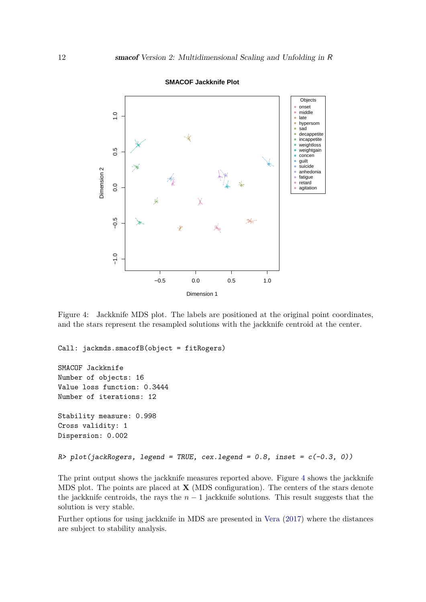

**SMACOF Jackknife Plot**

<span id="page-11-0"></span>Figure 4: Jackknife MDS plot. The labels are positioned at the original point coordinates, and the stars represent the resampled solutions with the jackknife centroid at the center.

Call: jackmds.smacofB(object = fitRogers)

```
SMACOF Jackknife
Number of objects: 16
Value loss function: 0.3444
Number of iterations: 12
Stability measure: 0.998
Cross validity: 1
Dispersion: 0.002
R> plot(jackRogers, legend = TRUE, cex.legend = 0.8, inset = c(-0.3, 0))
```
The print output shows the jackknife measures reported above. Figure [4](#page-11-0) shows the jackknife MDS plot. The points are placed at **X** (MDS configuration). The centers of the stars denote the jackknife centroids, the rays the  $n-1$  jackknife solutions. This result suggests that the solution is very stable.

Further options for using jackknife in MDS are presented in [Vera](#page-45-2) [\(2017\)](#page-45-2) where the distances are subject to stability analysis.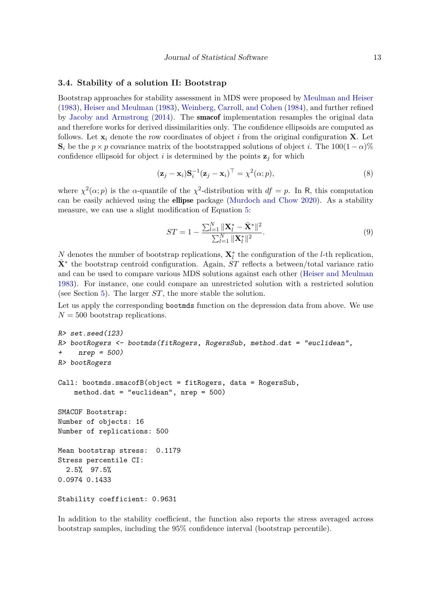#### **3.4. Stability of a solution II: Bootstrap**

Bootstrap approaches for stability assessment in MDS were proposed by [Meulman and Heiser](#page-44-6) [\(1983\)](#page-44-6), [Heiser and Meulman](#page-43-8) [\(1983\)](#page-43-8), [Weinberg, Carroll, and Cohen](#page-45-3) [\(1984\)](#page-45-3), and further refined by [Jacoby and Armstrong](#page-43-9) [\(2014\)](#page-43-9). The smacof implementation resamples the original data and therefore works for derived dissimilarities only. The confidence ellipsoids are computed as follows. Let  $\mathbf{x}_i$  denote the row coordinates of object *i* from the original configuration **X**. Let  $\mathbf{S}_i$  be the *p* × *p* covariance matrix of the bootstrapped solutions of object *i*. The 100(1 − *α*)% confidence ellipsoid for object *i* is determined by the points  $z_j$  for which

$$
(\mathbf{z}_j - \mathbf{x}_i) \mathbf{S}_i^{-1} (\mathbf{z}_j - \mathbf{x}_i)^\top = \chi^2(\alpha; p), \tag{8}
$$

where  $\chi^2(\alpha; p)$  is the *α*-quantile of the  $\chi^2$ -distribution with  $df = p$ . In R, this computation can be easily achieved using the ellipse package [\(Murdoch and Chow](#page-44-7) [2020\)](#page-44-7). As a stability measure, we can use a slight modification of Equation [5:](#page-10-0)

$$
ST = 1 - \frac{\sum_{l=1}^{N} \|\mathbf{X}_{l}^{*} - \bar{\mathbf{X}}^{*}\|^{2}}{\sum_{l=1}^{N} \|\mathbf{X}_{l}^{*}\|^{2}}.
$$
\n(9)

*N* denotes the number of bootstrap replications,  $\mathbf{X}_l^*$  the configuration of the *l*-th replication,  $\bar{\mathbf{X}}^*$  the bootstrap centroid configuration. Again,  $\dot{ST}$  reflects a between/total variance ratio and can be used to compare various MDS solutions against each other [\(Heiser and Meulman](#page-43-8) [1983\)](#page-43-8). For instance, one could compare an unrestricted solution with a restricted solution (see Section [5\)](#page-18-0). The larger *ST*, the more stable the solution.

Let us apply the corresponding bootmds function on the depression data from above. We use  $N = 500$  bootstrap replications.

```
R> set.seed(123)
R> bootRogers <- bootmds(fitRogers, RogersSub, method.dat = "euclidean",
+ nrep = 500)
R> bootRogers
Call: bootmds.smacofB(object = fitRogers, data = RogersSub,
    method.dat = "euclidean", nrep = 500)
SMACOF Bootstrap:
Number of objects: 16
Number of replications: 500
Mean bootstrap stress: 0.1179
Stress percentile CI:
  2.5% 97.5%
0.0974 0.1433
Stability coefficient: 0.9631
```
In addition to the stability coefficient, the function also reports the stress averaged across bootstrap samples, including the 95% confidence interval (bootstrap percentile).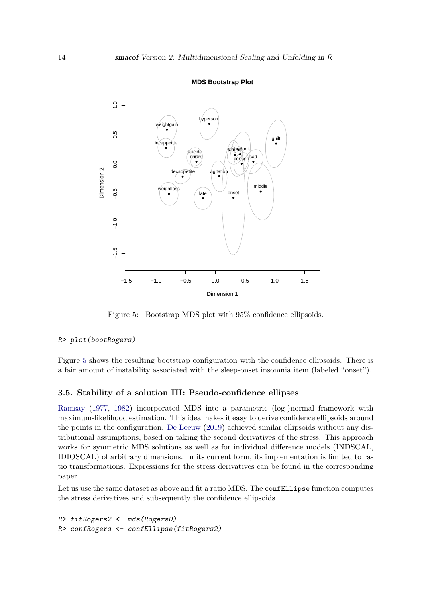

**MDS Bootstrap Plot**

<span id="page-13-0"></span>Figure 5: Bootstrap MDS plot with 95% confidence ellipsoids.

#### R> plot(bootRogers)

Figure [5](#page-13-0) shows the resulting bootstrap configuration with the confidence ellipsoids. There is a fair amount of instability associated with the sleep-onset insomnia item (labeled "onset").

#### **3.5. Stability of a solution III: Pseudo-confidence ellipses**

[Ramsay](#page-44-8) [\(1977,](#page-44-8) [1982\)](#page-44-9) incorporated MDS into a parametric (log-)normal framework with maximum-likelihood estimation. This idea makes it easy to derive confidence ellipsoids around the points in the configuration. [De Leeuw](#page-41-3) [\(2019\)](#page-41-3) achieved similar ellipsoids without any distributional assumptions, based on taking the second derivatives of the stress. This approach works for symmetric MDS solutions as well as for individual difference models (INDSCAL, IDIOSCAL) of arbitrary dimensions. In its current form, its implementation is limited to ratio transformations. Expressions for the stress derivatives can be found in the corresponding paper.

Let us use the same dataset as above and fit a ratio MDS. The confEllipse function computes the stress derivatives and subsequently the confidence ellipsoids.

```
R> fitRogers2 <- mds(RogersD)
R> confRogers <- confEllipse(fitRogers2)
```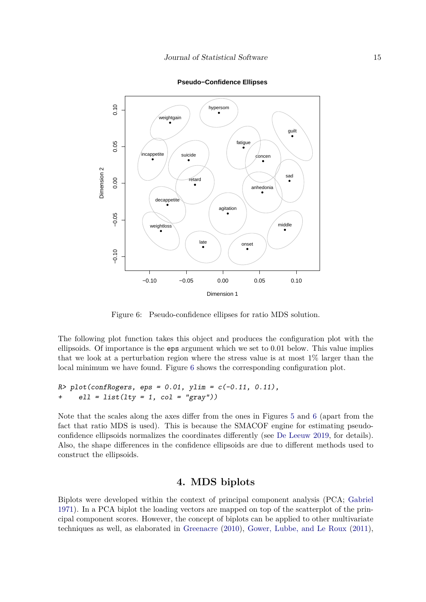

**Pseudo−Confidence Ellipses**

<span id="page-14-0"></span>Figure 6: Pseudo-confidence ellipses for ratio MDS solution.

The following plot function takes this object and produces the configuration plot with the ellipsoids. Of importance is the eps argument which we set to 0.01 below. This value implies that we look at a perturbation region where the stress value is at most 1% larger than the local minimum we have found. Figure [6](#page-14-0) shows the corresponding configuration plot.

```
R > plot(confRogers, eps = 0.01, ylim = c(-0.11, 0.11),
+ ell = list(lty = 1, col = "gray"))
```
Note that the scales along the axes differ from the ones in Figures [5](#page-13-0) and [6](#page-14-0) (apart from the fact that ratio MDS is used). This is because the SMACOF engine for estimating pseudoconfidence ellipsoids normalizes the coordinates differently (see [De Leeuw](#page-41-3) [2019,](#page-41-3) for details). Also, the shape differences in the confidence ellipsoids are due to different methods used to construct the ellipsoids.

# **4. MDS biplots**

<span id="page-14-1"></span>Biplots were developed within the context of principal component analysis (PCA; [Gabriel](#page-42-7) [1971\)](#page-42-7). In a PCA biplot the loading vectors are mapped on top of the scatterplot of the principal component scores. However, the concept of biplots can be applied to other multivariate techniques as well, as elaborated in [Greenacre](#page-42-8) [\(2010\)](#page-42-8), [Gower, Lubbe, and Le Roux](#page-42-9) [\(2011\)](#page-42-9),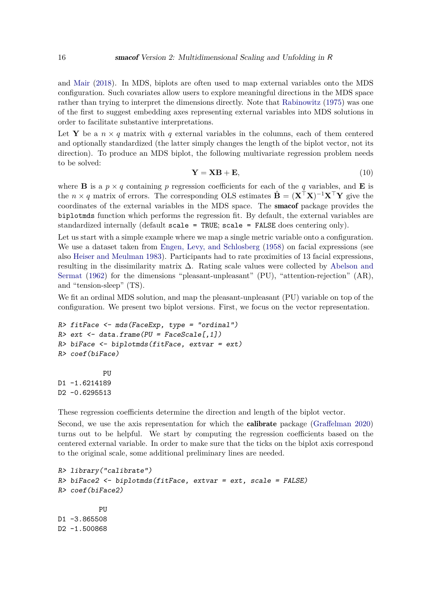and [Mair](#page-43-10) [\(2018\)](#page-43-10). In MDS, biplots are often used to map external variables onto the MDS configuration. Such covariates allow users to explore meaningful directions in the MDS space rather than trying to interpret the dimensions directly. Note that [Rabinowitz](#page-44-10) [\(1975\)](#page-44-10) was one of the first to suggest embedding axes representing external variables into MDS solutions in order to facilitate substantive interpretations.

Let **Y** be a  $n \times q$  matrix with q external variables in the columns, each of them centered and optionally standardized (the latter simply changes the length of the biplot vector, not its direction). To produce an MDS biplot, the following multivariate regression problem needs to be solved:

$$
\mathbf{Y} = \mathbf{X}\mathbf{B} + \mathbf{E},\tag{10}
$$

where **B** is a  $p \times q$  containing p regression coefficients for each of the q variables, and **E** is the *n* × *q* matrix of errors. The corresponding OLS estimates  $\hat{\mathbf{B}} = (\mathbf{X}^T \mathbf{X})^{-1} \mathbf{X}^T \mathbf{Y}$  give the coordinates of the external variables in the MDS space. The smacof package provides the biplotmds function which performs the regression fit. By default, the external variables are standardized internally (default scale = TRUE; scale = FALSE does centering only).

Let us start with a simple example where we map a single metric variable onto a configuration. We use a dataset taken from [Engen, Levy, and Schlosberg](#page-42-10) [\(1958\)](#page-42-10) on facial expressions (see also [Heiser and Meulman](#page-43-8) [1983\)](#page-43-8). Participants had to rate proximities of 13 facial expressions, resulting in the dissimilarity matrix  $\Delta$ . Rating scale values were collected by [Abelson and](#page-40-3) [Sermat](#page-40-3) [\(1962\)](#page-40-3) for the dimensions "pleasant-unpleasant" (PU), "attention-rejection" (AR), and "tension-sleep" (TS).

We fit an ordinal MDS solution, and map the pleasant-unpleasant (PU) variable on top of the configuration. We present two biplot versions. First, we focus on the vector representation.

```
R> fitFace <- mds(FaceExp, type = "ordinal")
R> ext \leq data.frame(PU = FaceScale[,1])
R> biFace <- biplotmds(fitFace, extvar = ext)
R> coef(biFace)
```
PU D1 -1.6214189 D2 -0.6295513

These regression coefficients determine the direction and length of the biplot vector.

Second, we use the axis representation for which the calibrate package [\(Graffelman](#page-42-11) [2020\)](#page-42-11) turns out to be helpful. We start by computing the regression coefficients based on the centered external variable. In order to make sure that the ticks on the biplot axis correspond to the original scale, some additional preliminary lines are needed.

```
R> library("calibrate")
R> biFace2 <- biplotmds(fitFace, extvar = ext, scale = FALSE)
R> coef(biFace2)
          PU
D1 -3.865508
D2 -1.500868
```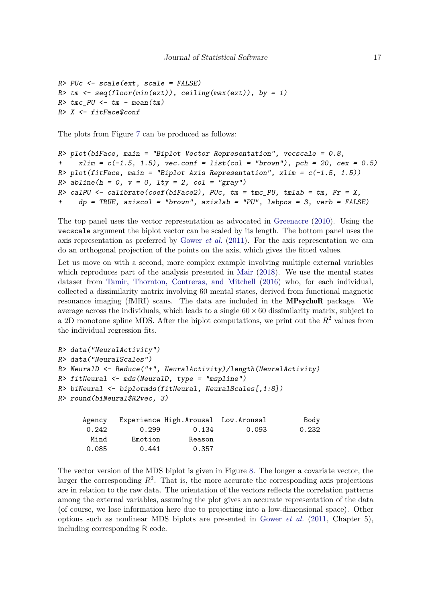```
R > PUc \leftarrow scale(ext, scale = FALSE)R \ge tm \le \neg seq(floor(mix)), ceiling(max(ext)), by = 1)R tmc_PU \le tm - mean(tm)
R> X <- fitFace$conf
```
The plots from Figure [7](#page-17-0) can be produced as follows:

```
R> plot(biFace, main = "Biplot Vector Representation", vecscale = 0.8,
+ x \lim = c(-1.5, 1.5), vec.conf = list(col = "brown"), pch = 20, cex = 0.5)
R> plot(fitFace, main = "Biplot Axis Representation", xlim = c(-1.5, 1.5))
R > abline(h = 0, v = 0, lty = 2, col = "gray")
R> calPU <- calibrate(coef(biFace2), PUc, tm = tmc PU, tmlab = tm, Fr = X,
+ dp = TRUE, axiscol = "brown", axislab = "PU", labpos = 3, verb = FALSE)
```
The top panel uses the vector representation as advocated in [Greenacre](#page-42-8) [\(2010\)](#page-42-8). Using the vecscale argument the biplot vector can be scaled by its length. The bottom panel uses the axis representation as preferred by [Gower](#page-42-9) *et al.* [\(2011\)](#page-42-9). For the axis representation we can do an orthogonal projection of the points on the axis, which gives the fitted values.

Let us move on with a second, more complex example involving multiple external variables which reproduces part of the analysis presented in [Mair](#page-43-10) [\(2018\)](#page-43-10). We use the mental states dataset from [Tamir, Thornton, Contreras, and Mitchell](#page-45-4) [\(2016\)](#page-45-4) who, for each individual, collected a dissimilarity matrix involving 60 mental states, derived from functional magnetic resonance imaging (fMRI) scans. The data are included in the MPsychoR package. We average across the individuals, which leads to a single  $60 \times 60$  dissimilarity matrix, subject to a 2D monotone spline MDS. After the biplot computations, we print out the  $R^2$  values from the individual regression fits.

```
R> data("NeuralActivity")
R> data("NeuralScales")
R> NeuralD <- Reduce("+", NeuralActivity)/length(NeuralActivity)
R> fitNeural <- mds(NeuralD, type = "mspline")
R> biNeural <- biplotmds(fitNeural, NeuralScales[,1:8])
R> round(biNeural$R2vec, 3)
```

| Agency |         | Experience High.Arousal Low.Arousal |       | Body  |
|--------|---------|-------------------------------------|-------|-------|
| 0.242  | 0.299   | 0.134                               | 0.093 | 0.232 |
| Mind   | Emotion | Reason                              |       |       |
| 0.085  | 0.441   | 0.357                               |       |       |

The vector version of the MDS biplot is given in Figure [8.](#page-18-1) The longer a covariate vector, the larger the corresponding  $R^2$ . That is, the more accurate the corresponding axis projections are in relation to the raw data. The orientation of the vectors reflects the correlation patterns among the external variables, assuming the plot gives an accurate representation of the data (of course, we lose information here due to projecting into a low-dimensional space). Other options such as nonlinear MDS biplots are presented in [Gower](#page-42-9) *et al.* [\(2011,](#page-42-9) Chapter 5), including corresponding R code.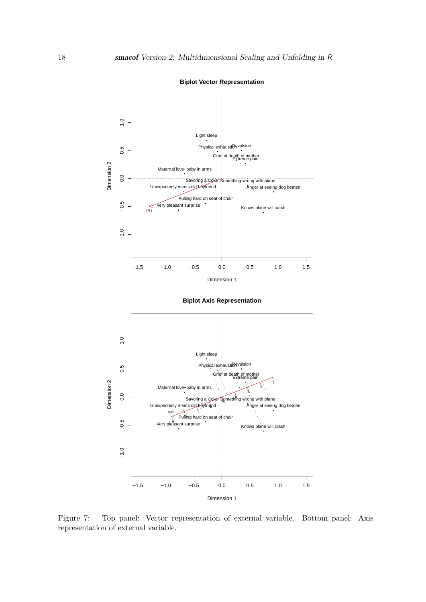

**Biplot Vector Representation**

Dimension 1

<span id="page-17-0"></span>Figure 7: Top panel: Vector representation of external variable. Bottom panel: Axis representation of external variable.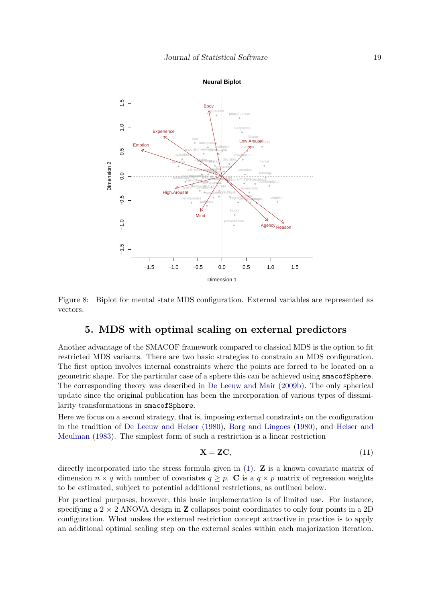



Figure 8: Biplot for mental state MDS configuration. External variables are represented as vectors.

# <span id="page-18-1"></span>**5. MDS with optimal scaling on external predictors**

<span id="page-18-0"></span>Another advantage of the SMACOF framework compared to classical MDS is the option to fit restricted MDS variants. There are two basic strategies to constrain an MDS configuration. The first option involves internal constraints where the points are forced to be located on a geometric shape. For the particular case of a sphere this can be achieved using smacofSphere. The corresponding theory was described in [De Leeuw and Mair](#page-42-0) [\(2009b\)](#page-42-0). The only spherical update since the original publication has been the incorporation of various types of dissimilarity transformations in smacofSphere.

Here we focus on a second strategy, that is, imposing external constraints on the configuration in the tradition of [De Leeuw and Heiser](#page-41-4) [\(1980\)](#page-41-4), [Borg and Lingoes](#page-40-4) [\(1980\)](#page-40-4), and [Heiser and](#page-43-8) [Meulman](#page-43-8) [\(1983\)](#page-43-8). The simplest form of such a restriction is a linear restriction

<span id="page-18-2"></span>
$$
\mathbf{X} = \mathbf{Z}\mathbf{C},\tag{11}
$$

directly incorporated into the stress formula given in [\(1\)](#page-1-1). **Z** is a known covariate matrix of dimension  $n \times q$  with number of covariates  $q \geq p$ . **C** is a  $q \times p$  matrix of regression weights to be estimated, subject to potential additional restrictions, as outlined below.

For practical purposes, however, this basic implementation is of limited use. For instance, specifying a  $2 \times 2$  ANOVA design in **Z** collapses point coordinates to only four points in a 2D configuration. What makes the external restriction concept attractive in practice is to apply an additional optimal scaling step on the external scales within each majorization iteration.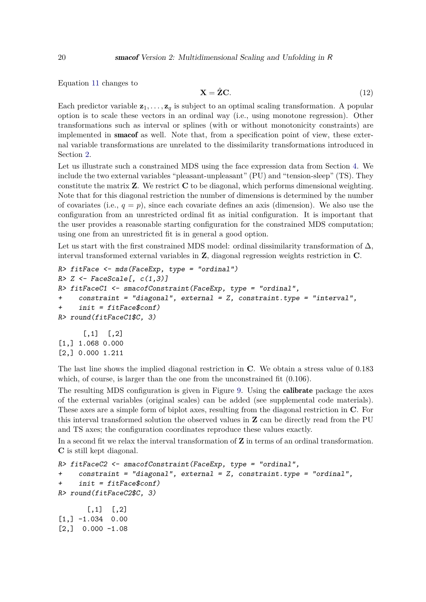Equation [11](#page-18-2) changes to

$$
\mathbf{X} = \hat{\mathbf{Z}} \mathbf{C}.\tag{12}
$$

Each predictor variable  $z_1, \ldots, z_q$  is subject to an optimal scaling transformation. A popular option is to scale these vectors in an ordinal way (i.e., using monotone regression). Other transformations such as interval or splines (with or without monotonicity constraints) are implemented in smacof as well. Note that, from a specification point of view, these external variable transformations are unrelated to the dissimilarity transformations introduced in Section [2.](#page-1-2)

Let us illustrate such a constrained MDS using the face expression data from Section [4.](#page-14-1) We include the two external variables "pleasant-unpleasant" (PU) and "tension-sleep" (TS). They constitute the matrix **Z**. We restrict **C** to be diagonal, which performs dimensional weighting. Note that for this diagonal restriction the number of dimensions is determined by the number of covariates (i.e.,  $q = p$ ), since each covariate defines an axis (dimension). We also use the configuration from an unrestricted ordinal fit as initial configuration. It is important that the user provides a reasonable starting configuration for the constrained MDS computation; using one from an unrestricted fit is in general a good option.

Let us start with the first constrained MDS model: ordinal dissimilarity transformation of  $\Delta$ , interval transformed external variables in **Z**, diagonal regression weights restriction in **C**.

```
R> fitFace <- mds(FaceExp, type = "ordinal")
R > Z \leftarrow FaceScale[, c(1,3)R> fitFaceC1 <- smacofConstraint(FaceExp, type = "ordinal",
+ constraint = "diagonal", external = Z, constraint.type = "interval",
+ init = fitFace$conf)
R> round(fitFaceC1$C, 3)
      [,1] [,2][1,] 1.068 0.000
```
[2,] 0.000 1.211

The last line shows the implied diagonal restriction in **C**. We obtain a stress value of 0.183 which, of course, is larger than the one from the unconstrained fit  $(0.106)$ .

The resulting MDS configuration is given in Figure [9.](#page-20-0) Using the calibrate package the axes of the external variables (original scales) can be added (see supplemental code materials). These axes are a simple form of biplot axes, resulting from the diagonal restriction in **C**. For this interval transformed solution the observed values in **Z** can be directly read from the PU and TS axes; the configuration coordinates reproduce these values exactly.

In a second fit we relax the interval transformation of **Z** in terms of an ordinal transformation. **C** is still kept diagonal.

```
R> fitFaceC2 <- smacofConstraint(FaceExp, type = "ordinal",
+ constraint = "diagonal", external = Z, constraint.type = "ordinal",
+ init = fitFace$conf)
R> round(fitFaceC2$C, 3)
       [,1] [,2][1,] -1.034 0.00
[2,] 0.000 -1.08
```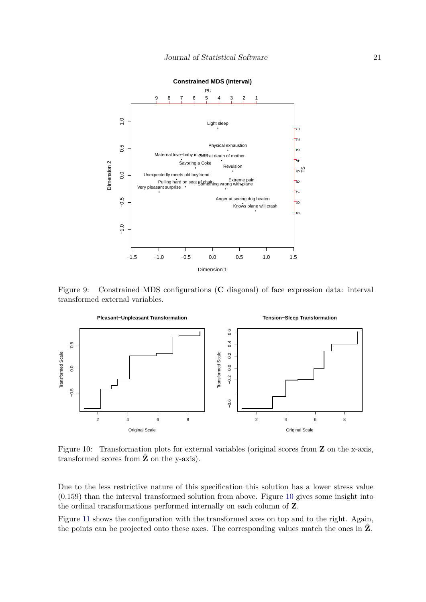

<span id="page-20-0"></span>Figure 9: Constrained MDS configurations (**C** diagonal) of face expression data: interval transformed external variables.



<span id="page-20-1"></span>Figure 10: Transformation plots for external variables (original scores from **Z** on the x-axis, transformed scores from  $\hat{Z}$  on the y-axis).

Due to the less restrictive nature of this specification this solution has a lower stress value (0.159) than the interval transformed solution from above. Figure [10](#page-20-1) gives some insight into the ordinal transformations performed internally on each column of **Z**.

Figure [11](#page-21-0) shows the configuration with the transformed axes on top and to the right. Again, the points can be projected onto these axes. The corresponding values match the ones in  $\hat{Z}$ .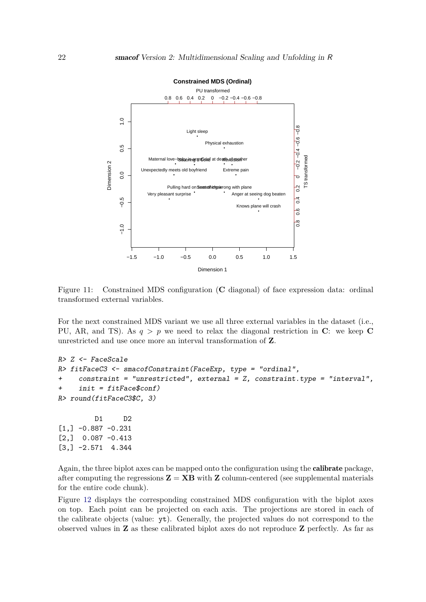

<span id="page-21-0"></span>Figure 11: Constrained MDS configuration (**C** diagonal) of face expression data: ordinal transformed external variables.

For the next constrained MDS variant we use all three external variables in the dataset (i.e., PU, AR, and TS). As  $q > p$  we need to relax the diagonal restriction in C: we keep C unrestricted and use once more an interval transformation of **Z**.

```
R> Z <- FaceScale
R> fitFaceC3 <- smacofConstraint(FaceExp, type = "ordinal",
+ constraint = "unrestricted", external = Z, constraint.type = "interval",
+ init = fitFace$conf)
R> round(fitFaceC3$C, 3)
        D1 D2
[1,] -0.887 -0.231[2,] 0.087 -0.413
[3,] -2.571 4.344
```
Again, the three biplot axes can be mapped onto the configuration using the calibrate package, after computing the regressions  $\mathbf{Z} = \mathbf{X}\mathbf{B}$  with  $\mathbf{Z}$  column-centered (see supplemental materials for the entire code chunk).

Figure [12](#page-22-1) displays the corresponding constrained MDS configuration with the biplot axes on top. Each point can be projected on each axis. The projections are stored in each of the calibrate objects (value: yt). Generally, the projected values do not correspond to the observed values in **Z** as these calibrated biplot axes do not reproduce **Z** perfectly. As far as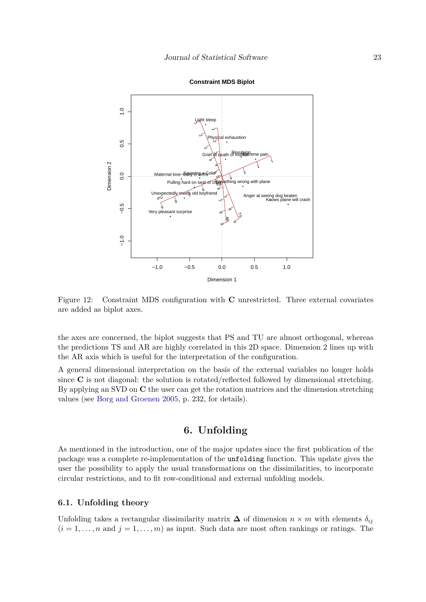

#### **Constraint MDS Biplot**

<span id="page-22-1"></span>Figure 12: Constraint MDS configuration with **C** unrestricted. Three external covariates are added as biplot axes.

the axes are concerned, the biplot suggests that PS and TU are almost orthogonal, whereas the predictions TS and AR are highly correlated in this 2D space. Dimension 2 lines up with the AR axis which is useful for the interpretation of the configuration.

A general dimensional interpretation on the basis of the external variables no longer holds since **C** is not diagonal: the solution is rotated/reflected followed by dimensional stretching. By applying an SVD on **C** the user can get the rotation matrices and the dimension stretching values (see [Borg and Groenen](#page-40-0) [2005,](#page-40-0) p. 232, for details).

# **6. Unfolding**

<span id="page-22-0"></span>As mentioned in the introduction, one of the major updates since the first publication of the package was a complete re-implementation of the unfolding function. This update gives the user the possibility to apply the usual transformations on the dissimilarities, to incorporate circular restrictions, and to fit row-conditional and external unfolding models.

#### **6.1. Unfolding theory**

Unfolding takes a rectangular dissimilarity matrix  $\Delta$  of dimension  $n \times m$  with elements  $\delta_{ij}$  $(i = 1, \ldots, n$  and  $j = 1, \ldots, m$  as input. Such data are most often rankings or ratings. The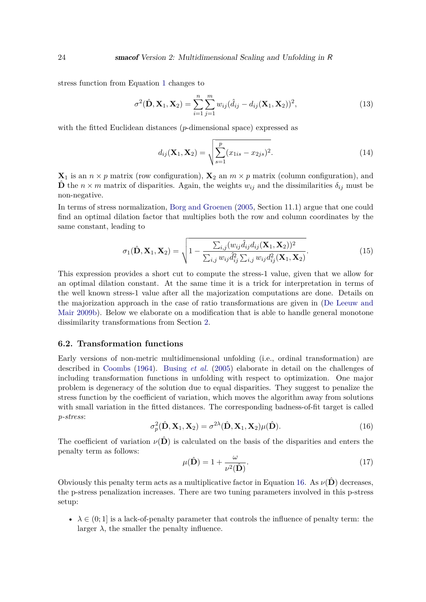stress function from Equation [1](#page-1-1) changes to

$$
\sigma^{2}(\hat{\mathbf{D}}, \mathbf{X}_{1}, \mathbf{X}_{2}) = \sum_{i=1}^{n} \sum_{j=1}^{m} w_{ij} (\hat{d}_{ij} - d_{ij}(\mathbf{X}_{1}, \mathbf{X}_{2}))^{2},
$$
\n(13)

with the fitted Euclidean distances (*p*-dimensional space) expressed as

$$
d_{ij}(\mathbf{X}_1, \mathbf{X}_2) = \sqrt{\sum_{s=1}^p (x_{1is} - x_{2js})^2}.
$$
 (14)

 $\mathbf{X}_1$  is an  $n \times p$  matrix (row configuration),  $\mathbf{X}_2$  an  $m \times p$  matrix (column configuration), and  $\hat{\mathbf{D}}$  the *n* × *m* matrix of disparities. Again, the weights  $w_{ij}$  and the dissimilarities  $\delta_{ij}$  must be non-negative.

In terms of stress normalization, [Borg and Groenen](#page-40-0) [\(2005,](#page-40-0) Section 11.1) argue that one could find an optimal dilation factor that multiplies both the row and column coordinates by the same constant, leading to

<span id="page-23-1"></span>
$$
\sigma_1(\hat{\mathbf{D}}, \mathbf{X}_1, \mathbf{X}_2) = \sqrt{1 - \frac{\sum_{i,j} (w_{ij} \hat{d}_{ij} d_{ij}(\mathbf{X}_1, \mathbf{X}_2))^2}{\sum_{i,j} w_{ij} \hat{d}_{ij}^2 \sum_{i,j} w_{ij} d_{ij}^2(\mathbf{X}_1, \mathbf{X}_2)}}.
$$
(15)

This expression provides a short cut to compute the stress-1 value, given that we allow for an optimal dilation constant. At the same time it is a trick for interpretation in terms of the well known stress-1 value after all the majorization computations are done. Details on the majorization approach in the case of ratio transformations are given in [\(De Leeuw and](#page-42-0) [Mair](#page-42-0) [2009b\)](#page-42-0). Below we elaborate on a modification that is able to handle general monotone dissimilarity transformations from Section [2.](#page-1-2)

#### **6.2. Transformation functions**

Early versions of non-metric multidimensional unfolding (i.e., ordinal transformation) are described in [Coombs](#page-41-0) [\(1964\)](#page-41-0). [Busing](#page-41-1) *et al.* [\(2005\)](#page-41-1) elaborate in detail on the challenges of including transformation functions in unfolding with respect to optimization. One major problem is degeneracy of the solution due to equal disparities. They suggest to penalize the stress function by the coefficient of variation, which moves the algorithm away from solutions with small variation in the fitted distances. The corresponding badness-of-fit target is called *p-stress*:

<span id="page-23-0"></span>
$$
\sigma_p^2(\hat{\mathbf{D}}, \mathbf{X}_1, \mathbf{X}_2) = \sigma^{2\lambda}(\hat{\mathbf{D}}, \mathbf{X}_1, \mathbf{X}_2) \mu(\hat{\mathbf{D}}).
$$
 (16)

The coefficient of variation  $\nu(\hat{\mathbf{D}})$  is calculated on the basis of the disparities and enters the penalty term as follows:

<span id="page-23-2"></span>
$$
\mu(\hat{\mathbf{D}}) = 1 + \frac{\omega}{\nu^2(\hat{\mathbf{D}})}.
$$
\n(17)

Obviously this penalty term acts as a multiplicative factor in Equation [16.](#page-23-0) As  $\nu(\hat{\mathbf{D}})$  decreases, the p-stress penalization increases. There are two tuning parameters involved in this p-stress setup:

•  $\lambda \in (0, 1]$  is a lack-of-penalty parameter that controls the influence of penalty term: the larger  $\lambda$ , the smaller the penalty influence.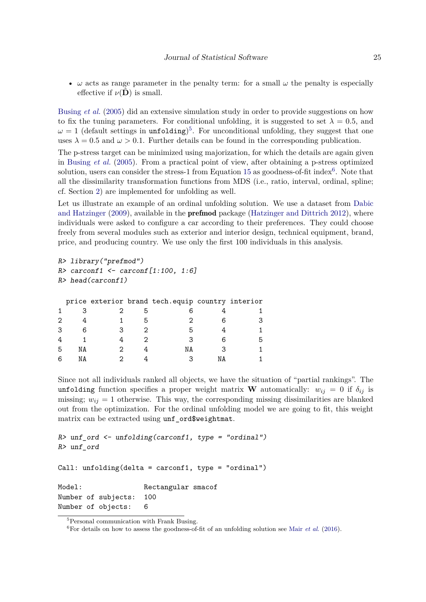•  $\omega$  acts as range parameter in the penalty term: for a small  $\omega$  the penalty is especially effective if  $\nu(\hat{\mathbf{D}})$  is small.

[Busing](#page-41-1) *et al.* [\(2005\)](#page-41-1) did an extensive simulation study in order to provide suggestions on how to fix the tuning parameters. For conditional unfolding, it is suggested to set  $\lambda = 0.5$ , and  $\omega = 1$  (default settings in unfolding)<sup>[5](#page-24-0)</sup>. For unconditional unfolding, they suggest that one uses  $\lambda = 0.5$  and  $\omega > 0.1$ . Further details can be found in the corresponding publication.

The p-stress target can be minimized using majorization, for which the details are again given in [Busing](#page-41-1) *et al.* [\(2005\)](#page-41-1). From a practical point of view, after obtaining a p-stress optimized solution, users can consider the stress-1 from Equation [15](#page-23-1) as goodness-of-fit index<sup>[6](#page-24-1)</sup>. Note that all the dissimilarity transformation functions from MDS (i.e., ratio, interval, ordinal, spline; cf. Section [2\)](#page-1-2) are implemented for unfolding as well.

Let us illustrate an example of an ordinal unfolding solution. We use a dataset from [Dabic](#page-41-5) [and Hatzinger](#page-41-5) [\(2009\)](#page-41-5), available in the **prefmod** package [\(Hatzinger and Dittrich](#page-42-12) [2012\)](#page-42-12), where individuals were asked to configure a car according to their preferences. They could choose freely from several modules such as exterior and interior design, technical equipment, brand, price, and producing country. We use only the first 100 individuals in this analysis.

```
R> library("prefmod")
R > carconf1 <- carconf[1:100, 1:6]
R> head(carconf1)
```

|   |    |  | price exterior brand tech. equip country interior |      |  |
|---|----|--|---------------------------------------------------|------|--|
|   |    |  |                                                   |      |  |
|   |    |  |                                                   |      |  |
|   |    |  |                                                   |      |  |
|   |    |  |                                                   |      |  |
| 5 | NA |  | ΝA                                                |      |  |
|   |    |  |                                                   | ∿≀ Д |  |

Since not all individuals ranked all objects, we have the situation of "partial rankings". The unfolding function specifies a proper weight matrix **W** automatically:  $w_{ij} = 0$  if  $\delta_{ij}$  is missing;  $w_{ij} = 1$  otherwise. This way, the corresponding missing dissimilarities are blanked out from the optimization. For the ordinal unfolding model we are going to fit, this weight matrix can be extracted using unf ord\$weightmat.

```
R> unf_ord <- unfolding(carconf1, type = "ordinal")
R> unf_ord
Call: unfolding(delta = carconf1, type = "ordinal")
Model: Rectangular smacof
Number of subjects: 100
Number of objects: 6
```
<span id="page-24-0"></span> ${\rm ^5Personal}$  communication with Frank Busing.

<span id="page-24-1"></span> ${}^{6}$ For details on how to assess the goodness-of-fit of an unfolding solution see Mair *[et al.](#page-43-4)* [\(2016\)](#page-43-4).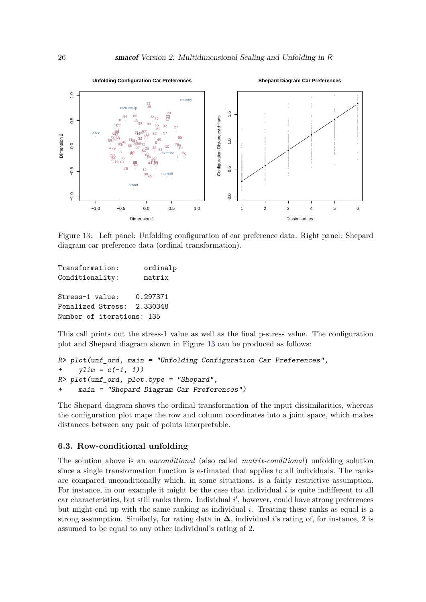

<span id="page-25-0"></span>Figure 13: Left panel: Unfolding configuration of car preference data. Right panel: Shepard diagram car preference data (ordinal transformation).

| Transformation:           | ordinalp |
|---------------------------|----------|
| Conditionality:           | matrix   |
|                           |          |
| Stress-1 value:           | 0.297371 |
| Penalized Stress:         | 2.330348 |
| Number of iterations: 135 |          |

This call prints out the stress-1 value as well as the final p-stress value. The configuration plot and Shepard diagram shown in Figure [13](#page-25-0) can be produced as follows:

```
R> plot(unf_ord, main = "Unfolding Configuration Car Preferences",
+ ylim = c(-1, 1)R> plot(unf_ord, plot.type = "Shepard",
+ main = "Shepard Diagram Car Preferences")
```
The Shepard diagram shows the ordinal transformation of the input dissimilarities, whereas the configuration plot maps the row and column coordinates into a joint space, which makes distances between any pair of points interpretable.

#### **6.3. Row-conditional unfolding**

The solution above is an *unconditional* (also called *matrix-conditional*) unfolding solution since a single transformation function is estimated that applies to all individuals. The ranks are compared unconditionally which, in some situations, is a fairly restrictive assumption. For instance, in our example it might be the case that individual *i* is quite indifferent to all car characteristics, but still ranks them. Individual i', however, could have strong preferences but might end up with the same ranking as individual *i*. Treating these ranks as equal is a strong assumption. Similarly, for rating data in  $\Delta$ , individual *i*'s rating of, for instance, 2 is assumed to be equal to any other individual's rating of 2.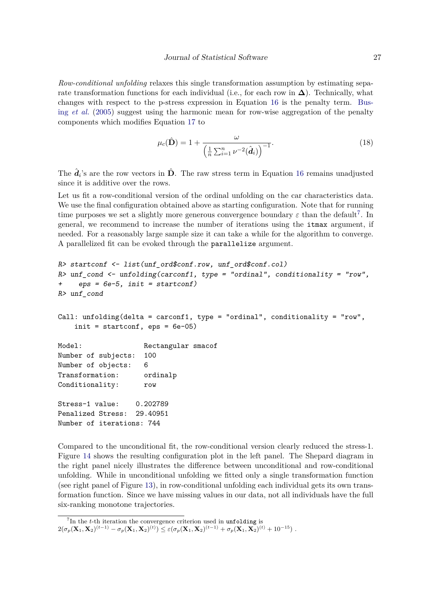*Row-conditional unfolding* relaxes this single transformation assumption by estimating separate transformation functions for each individual (i.e., for each row in  $\Delta$ ). Technically, what changes with respect to the p-stress expression in Equation [16](#page-23-0) is the penalty term. [Bus](#page-41-1)ing *[et al.](#page-41-1)* [\(2005\)](#page-41-1) suggest using the harmonic mean for row-wise aggregation of the penalty components which modifies Equation [17](#page-23-2) to

$$
\mu_c(\hat{\mathbf{D}}) = 1 + \frac{\omega}{\left(\frac{1}{n}\sum_{i=1}^n \nu^{-2}(\hat{\boldsymbol{d}}_i)\right)^{-1}}.
$$
\n(18)

The  $\hat{d}_i$ 's are the row vectors in  $\hat{D}$ . The raw stress term in Equation [16](#page-23-0) remains unadjusted since it is additive over the rows.

Let us fit a row-conditional version of the ordinal unfolding on the car characteristics data. We use the final configuration obtained above as starting configuration. Note that for running time purposes we set a slightly more generous convergence boundary  $\varepsilon$  than the default<sup>[7](#page-26-0)</sup>. In general, we recommend to increase the number of iterations using the itmax argument, if needed. For a reasonably large sample size it can take a while for the algorithm to converge. A parallelized fit can be evoked through the parallelize argument.

```
R> startconf <- list(unf_ord$conf.row, unf_ord$conf.col)
R> unf_cond <- unfolding(carconf1, type = "ordinal", conditionality = "row",
+ eps = 6e-5, init = startconf)
R> unf_cond
Call: unfolding(delta = carconf1, type = "ordinal", conditionality = "row",init = startconf, eps = 6e-05)
Model: Rectangular smacof
Number of subjects: 100
Number of objects: 6
Transformation: ordinalp
Conditionality: row
Stress-1 value: 0.202789
Penalized Stress: 29.40951
Number of iterations: 744
```
Compared to the unconditional fit, the row-conditional version clearly reduced the stress-1. Figure [14](#page-27-0) shows the resulting configuration plot in the left panel. The Shepard diagram in the right panel nicely illustrates the difference between unconditional and row-conditional unfolding. While in unconditional unfolding we fitted only a single transformation function (see right panel of Figure [13\)](#page-25-0), in row-conditional unfolding each individual gets its own transformation function. Since we have missing values in our data, not all individuals have the full six-ranking monotone trajectories.

<span id="page-26-0"></span><sup>&</sup>lt;sup>7</sup>In the *t*-th iteration the convergence criterion used in unfolding is

 $2(\sigma_p({\bf X}_1,{\bf X}_2)^{(t-1)}-\sigma_p({\bf X}_1,{\bf X}_2)^{(t)})\leq \varepsilon(\sigma_p({\bf X}_1,{\bf X}_2)^{(t-1)}+\sigma_p({\bf X}_1,{\bf X}_2)^{(t)}+10^{-15})\;.$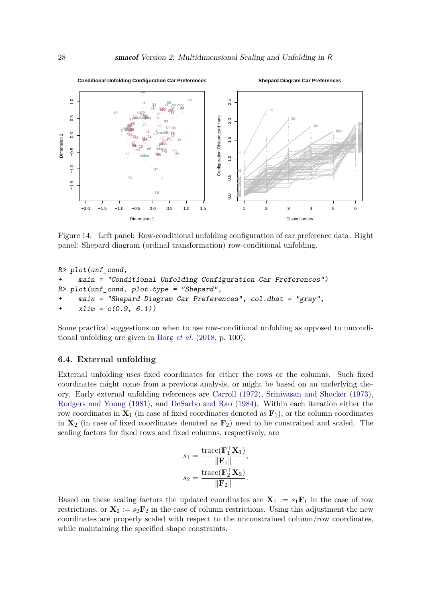

<span id="page-27-0"></span>Figure 14: Left panel: Row-conditional unfolding configuration of car preference data. Right panel: Shepard diagram (ordinal transformation) row-conditional unfolding.

```
R> plot(unf_cond,
+ main = "Conditional Unfolding Configuration Car Preferences")
R> plot(unf_cond, plot.type = "Shepard",
    main = "Shepard Diagram Car Preferences", col.dhat = "gray",
+ xlim = c(0.9, 6.1)
```
Some practical suggestions on when to use row-conditional unfolding as opposed to unconditional unfolding are given in Borg *[et al.](#page-40-2)* [\(2018,](#page-40-2) p. 100).

#### **6.4. External unfolding**

External unfolding uses fixed coordinates for either the rows or the columns. Such fixed coordinates might come from a previous analysis, or might be based on an underlying theory. Early external unfolding references are [Carroll](#page-41-6) [\(1972\)](#page-41-6), [Srinivasan and Shocker](#page-45-5) [\(1973\)](#page-45-5), [Rodgers and Young](#page-44-11) [\(1981\)](#page-44-11), and [DeSarbo and Rao](#page-42-13) [\(1984\)](#page-42-13). Within each iteration either the row coordinates in  $X_1$  (in case of fixed coordinates denoted as  $F_1$ ), or the column coordinates in **X**<sup>2</sup> (in case of fixed coordinates denoted as **F**2) need to be constrained and scaled. The scaling factors for fixed rows and fixed columns, respectively, are

$$
s_1 = \frac{\text{trace}(\mathbf{F}_1^{\top} \mathbf{X}_1)}{\|\mathbf{F}_1\|},
$$

$$
s_2 = \frac{\text{trace}(\mathbf{F}_2^{\top} \mathbf{X}_2)}{\|\mathbf{F}_2\|}.
$$

Based on these scaling factors the updated coordinates are  $X_1 := s_1F_1$  in the case of row restrictions, or  $\mathbf{X}_2 := s_2 \mathbf{F}_2$  in the case of column restrictions. Using this adjustment the new coordinates are properly scaled with respect to the unconstrained column/row coordinates, while maintaining the specified shape constraints.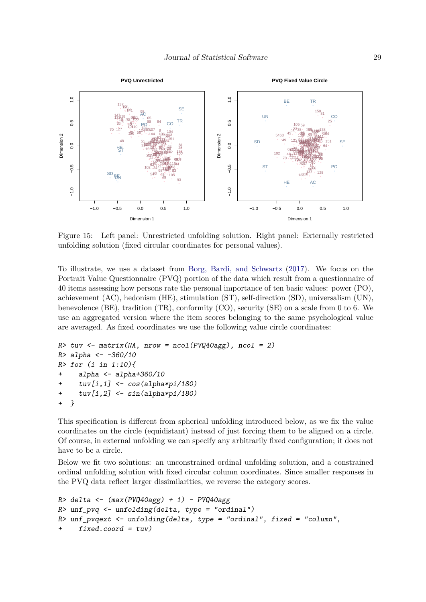

<span id="page-28-0"></span>Figure 15: Left panel: Unrestricted unfolding solution. Right panel: Externally restricted unfolding solution (fixed circular coordinates for personal values).

To illustrate, we use a dataset from [Borg, Bardi, and Schwartz](#page-40-5) [\(2017\)](#page-40-5). We focus on the Portrait Value Questionnaire (PVQ) portion of the data which result from a questionnaire of 40 items assessing how persons rate the personal importance of ten basic values: power (PO), achievement (AC), hedonism (HE), stimulation (ST), self-direction (SD), universalism (UN), benevolence (BE), tradition (TR), conformity (CO), security (SE) on a scale from 0 to 6. We use an aggregated version where the item scores belonging to the same psychological value are averaged. As fixed coordinates we use the following value circle coordinates:

```
R> tuv <- matrix(NA, nrow = ncol(PVQ40agg), ncol = 2)
R> alpha <- -360/10
R> for (i in 1:10){
+ alpha <- alpha+360/10
    tuv[i,1] <- cos(alpha+pi/180)+ tuv[i,2] <- sin(alpha*pi/180)
+ }
```
This specification is different from spherical unfolding introduced below, as we fix the value coordinates on the circle (equidistant) instead of just forcing them to be aligned on a circle. Of course, in external unfolding we can specify any arbitrarily fixed configuration; it does not have to be a circle.

Below we fit two solutions: an unconstrained ordinal unfolding solution, and a constrained ordinal unfolding solution with fixed circular column coordinates. Since smaller responses in the PVQ data reflect larger dissimilarities, we reverse the category scores.

```
R> delta <- (max(PVQ40agg) + 1) - PVQ40aggR> unf_pvq <- unfolding(delta, type = "ordinal")
R> unf_pvqext <- unfolding(delta, type = "ordinal", fixed = "column",
    fixed.cord = tuv)
```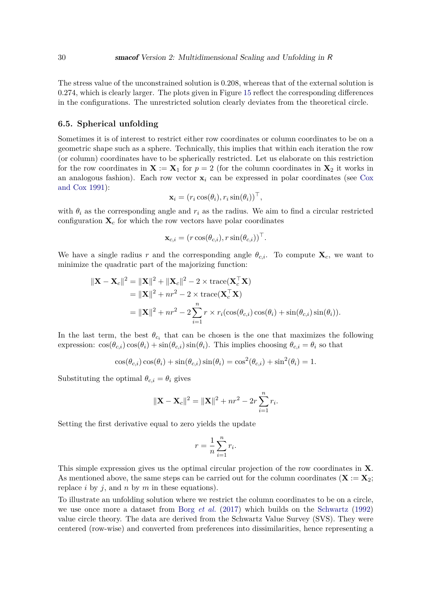The stress value of the unconstrained solution is 0.208, whereas that of the external solution is 0.274, which is clearly larger. The plots given in Figure [15](#page-28-0) reflect the corresponding differences in the configurations. The unrestricted solution clearly deviates from the theoretical circle.

#### **6.5. Spherical unfolding**

Sometimes it is of interest to restrict either row coordinates or column coordinates to be on a geometric shape such as a sphere. Technically, this implies that within each iteration the row (or column) coordinates have to be spherically restricted. Let us elaborate on this restriction for the row coordinates in  $X := X_1$  for  $p = 2$  (for the column coordinates in  $X_2$  it works in an analogous fashion). Each row vector  $\mathbf{x}_i$  can be expressed in polar coordinates (see [Cox](#page-41-7) [and Cox](#page-41-7) [1991\)](#page-41-7):

$$
\mathbf{x}_i = (r_i \cos(\theta_i), r_i \sin(\theta_i))^{\top},
$$

with  $\theta_i$  as the corresponding angle and  $r_i$  as the radius. We aim to find a circular restricted configuration  $\mathbf{X}_c$  for which the row vectors have polar coordinates

$$
\mathbf{x}_{c,i} = (r \cos(\theta_{c,i}), r \sin(\theta_{c,i}))^{\top}.
$$

We have a single radius r and the corresponding angle  $\theta_{c,i}$ . To compute  $\mathbf{X}_c$ , we want to minimize the quadratic part of the majorizing function:

$$
\begin{aligned} \|\mathbf{X} - \mathbf{X}_c\|^2 &= \|\mathbf{X}\|^2 + \|\mathbf{X}_c\|^2 - 2 \times \text{trace}(\mathbf{X}_c^\top \mathbf{X}) \\ &= \|\mathbf{X}\|^2 + nr^2 - 2 \times \text{trace}(\mathbf{X}_c^\top \mathbf{X}) \\ &= \|\mathbf{X}\|^2 + nr^2 - 2 \sum_{i=1}^n r \times r_i(\cos(\theta_{c,i})\cos(\theta_i) + \sin(\theta_{c,i})\sin(\theta_i)). \end{aligned}
$$

In the last term, the best  $\theta_{c_i}$  that can be chosen is the one that maximizes the following expression:  $\cos(\theta_{c,i}) \cos(\theta_i) + \sin(\theta_{c,i}) \sin(\theta_i)$ . This implies choosing  $\theta_{c,i} = \theta_i$  so that

$$
\cos(\theta_{c,i})\cos(\theta_i) + \sin(\theta_{c,i})\sin(\theta_i) = \cos^2(\theta_{c,i}) + \sin^2(\theta_i) = 1.
$$

Substituting the optimal  $\theta_{c,i} = \theta_i$  gives

$$
\|\mathbf{X} - \mathbf{X}_c\|^2 = \|\mathbf{X}\|^2 + nr^2 - 2r\sum_{i=1}^n r_i.
$$

Setting the first derivative equal to zero yields the update

$$
r = \frac{1}{n} \sum_{i=1}^{n} r_i.
$$

This simple expression gives us the optimal circular projection of the row coordinates in **X**. As mentioned above, the same steps can be carried out for the column coordinates  $(X := X_2)$ ; replace *i* by *j*, and *n* by *m* in these equations).

To illustrate an unfolding solution where we restrict the column coordinates to be on a circle, we use once more a dataset from Borg *[et al.](#page-40-5)* [\(2017\)](#page-40-5) which builds on the [Schwartz](#page-44-12) [\(1992\)](#page-44-12) value circle theory. The data are derived from the Schwartz Value Survey (SVS). They were centered (row-wise) and converted from preferences into dissimilarities, hence representing a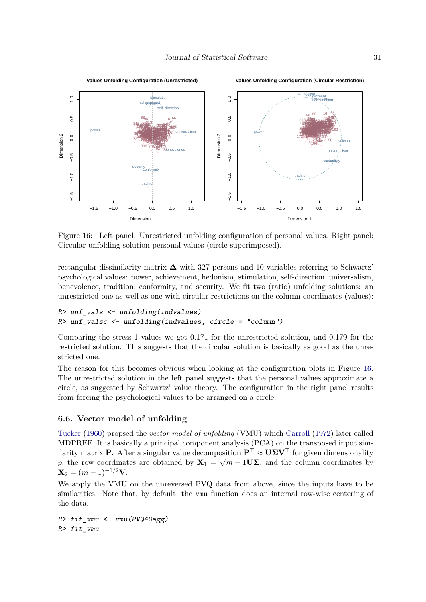

<span id="page-30-0"></span>Figure 16: Left panel: Unrestricted unfolding configuration of personal values. Right panel: Circular unfolding solution personal values (circle superimposed).

rectangular dissimilarity matrix **∆** with 327 persons and 10 variables referring to Schwartz' psychological values: power, achievement, hedonism, stimulation, self-direction, universalism, benevolence, tradition, conformity, and security. We fit two (ratio) unfolding solutions: an unrestricted one as well as one with circular restrictions on the column coordinates (values):

```
R> unf_vals \leftarrow unfolding(indvalues)
R \geq unf valsc \leq unfolding (indvalues, circle = "column")
```
Comparing the stress-1 values we get 0.171 for the unrestricted solution, and 0.179 for the restricted solution. This suggests that the circular solution is basically as good as the unrestricted one.

The reason for this becomes obvious when looking at the configuration plots in Figure [16.](#page-30-0) The unrestricted solution in the left panel suggests that the personal values approximate a circle, as suggested by Schwartz' value theory. The configuration in the right panel results from forcing the psychological values to be arranged on a circle.

#### **6.6. Vector model of unfolding**

[Tucker](#page-45-6) [\(1960\)](#page-45-6) propsed the *vector model of unfolding* (VMU) which [Carroll](#page-41-6) [\(1972\)](#page-41-6) later called MDPREF. It is basically a principal component analysis (PCA) on the transposed input similarity matrix **P**. After a singular value decomposition  $\mathbf{P}^{\top} \approx \mathbf{U}\mathbf{\Sigma}\mathbf{V}^{\top}$  for given dimensionality *p*, the row coordinates are obtained by  $X_1 = \sqrt{m-1}$  **U** $\Sigma$ , and the column coordinates by  $X_2 = (m-1)^{-1/2}V$ .

We apply the VMU on the unreversed PVQ data from above, since the inputs have to be similarities. Note that, by default, the vmu function does an internal row-wise centering of the data.

 $R$ > fit\_vmu <- vmu(PVQ40agg) R> fit\_vmu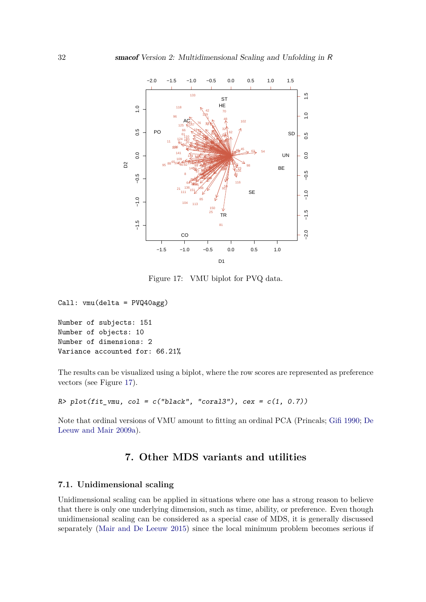

<span id="page-31-0"></span>Figure 17: VMU biplot for PVQ data.

```
Call: vmu(delta = PVQ40agg)
```
Number of subjects: 151 Number of objects: 10 Number of dimensions: 2 Variance accounted for: 66.21%

The results can be visualized using a biplot, where the row scores are represented as preference vectors (see Figure [17\)](#page-31-0).

 $R$ > plot(fit\_vmu, col = c("black", "coral3"), cex = c(1, 0.7))

Note that ordinal versions of VMU amount to fitting an ordinal PCA (Princals; [Gifi](#page-42-14) [1990;](#page-42-14) [De](#page-42-15) [Leeuw and Mair](#page-42-15) [2009a\)](#page-42-15).

# **7. Other MDS variants and utilities**

#### **7.1. Unidimensional scaling**

Unidimensional scaling can be applied in situations where one has a strong reason to believe that there is only one underlying dimension, such as time, ability, or preference. Even though unidimensional scaling can be considered as a special case of MDS, it is generally discussed separately [\(Mair and De Leeuw](#page-43-11) [2015\)](#page-43-11) since the local minimum problem becomes serious if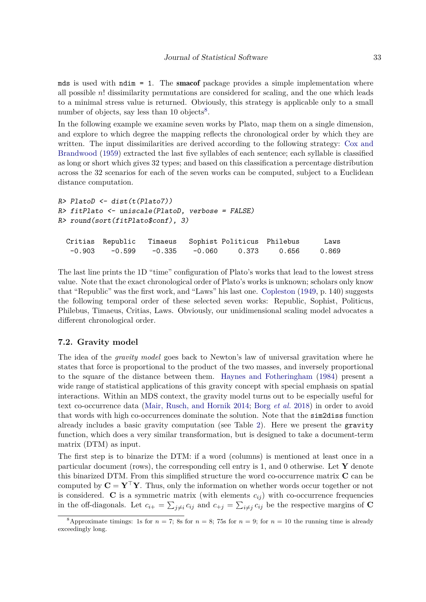mds is used with  $ndim = 1$ . The smacof package provides a simple implementation where all possible *n*! dissimilarity permutations are considered for scaling, and the one which leads to a minimal stress value is returned. Obviously, this strategy is applicable only to a small number of objects, say less than 10 objects<sup>[8](#page-32-0)</sup>.

In the following example we examine seven works by Plato, map them on a single dimension, and explore to which degree the mapping reflects the chronological order by which they are written. The input dissimilarities are derived according to the following strategy: [Cox and](#page-41-8) [Brandwood](#page-41-8) [\(1959\)](#page-41-8) extracted the last five syllables of each sentence; each syllable is classified as long or short which gives 32 types; and based on this classification a percentage distribution across the 32 scenarios for each of the seven works can be computed, subject to a Euclidean distance computation.

```
R> PlatoD <- dist(t(Plato7))
R> fitPlato <- uniscale(PlatoD, verbose = FALSE)
R> round(sort(fitPlato$conf), 3)
 Critias Republic Timaeus Sophist Politicus Philebus Laws
  -0.903 -0.599 -0.335 -0.060 0.373 0.656 0.869
```
The last line prints the 1D "time" configuration of Plato's works that lead to the lowest stress value. Note that the exact chronological order of Plato's works is unknown; scholars only know that "Republic" was the first work, and "Laws" his last one. [Copleston](#page-41-9) [\(1949,](#page-41-9) p. 140) suggests the following temporal order of these selected seven works: Republic, Sophist, Politicus, Philebus, Timaeus, Critias, Laws. Obviously, our unidimensional scaling model advocates a different chronological order.

#### **7.2. Gravity model**

The idea of the *gravity model* goes back to Newton's law of universal gravitation where he states that force is proportional to the product of the two masses, and inversely proportional to the square of the distance between them. [Haynes and Fotheringham](#page-42-16) [\(1984\)](#page-42-16) present a wide range of statistical applications of this gravity concept with special emphasis on spatial interactions. Within an MDS context, the gravity model turns out to be especially useful for text co-occurrence data [\(Mair, Rusch, and Hornik](#page-43-12) [2014;](#page-43-12) Borg *[et al.](#page-40-2)* [2018\)](#page-40-2) in order to avoid that words with high co-occurrences dominate the solution. Note that the sim2diss function already includes a basic gravity computation (see Table [2\)](#page-2-0). Here we present the gravity function, which does a very similar transformation, but is designed to take a document-term matrix (DTM) as input.

The first step is to binarize the DTM: if a word (columns) is mentioned at least once in a particular document (rows), the corresponding cell entry is 1, and 0 otherwise. Let **Y** denote this binarized DTM. From this simplified structure the word co-occurrence matrix **C** can be computed by  $C = Y^{\top}Y$ . Thus, only the information on whether words occur together or not is considered. **C** is a symmetric matrix (with elements  $c_{ij}$ ) with co-occurrence frequencies in the off-diagonals. Let  $c_{i+} = \sum_{j \neq i} c_{ij}$  and  $c_{+j} = \sum_{i \neq j} c_{ij}$  be the respective margins of **C** 

<span id="page-32-0"></span><sup>&</sup>lt;sup>8</sup>Approximate timings: 1s for  $n = 7$ ; 8s for  $n = 8$ ; 75s for  $n = 9$ ; for  $n = 10$  the running time is already exceedingly long.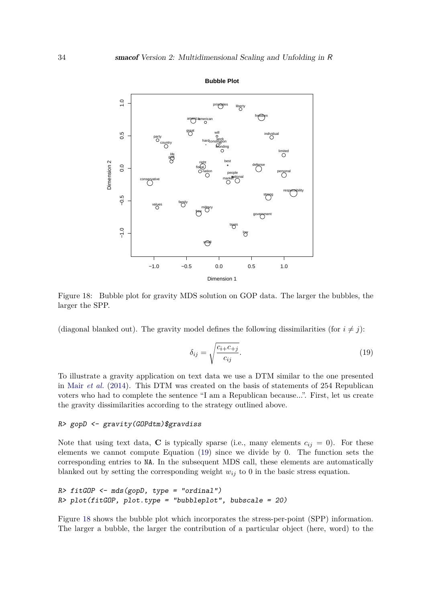

<span id="page-33-1"></span>Figure 18: Bubble plot for gravity MDS solution on GOP data. The larger the bubbles, the larger the SPP.

(diagonal blanked out). The gravity model defines the following dissimilarities (for  $i \neq j$ ):

<span id="page-33-0"></span>
$$
\delta_{ij} = \sqrt{\frac{c_{i+}c_{+j}}{c_{ij}}}.\tag{19}
$$

To illustrate a gravity application on text data we use a DTM similar to the one presented in Mair *[et al.](#page-43-12)* [\(2014\)](#page-43-12). This DTM was created on the basis of statements of 254 Republican voters who had to complete the sentence "I am a Republican because...". First, let us create the gravity dissimilarities according to the strategy outlined above.

#### R> gopD <- gravity(GOPdtm)\$gravdiss

Note that using text data, **C** is typically sparse (i.e., many elements  $c_{ij} = 0$ ). For these elements we cannot compute Equation [\(19\)](#page-33-0) since we divide by 0. The function sets the corresponding entries to NA. In the subsequent MDS call, these elements are automatically blanked out by setting the corresponding weight  $w_{ij}$  to 0 in the basic stress equation.

```
R> fitGOP <- mds(gopD, type = "ordinal")
R> plot(fitGOP, plot.type = "bubbleplot", bubscale = 20)
```
Figure [18](#page-33-1) shows the bubble plot which incorporates the stress-per-point (SPP) information. The larger a bubble, the larger the contribution of a particular object (here, word) to the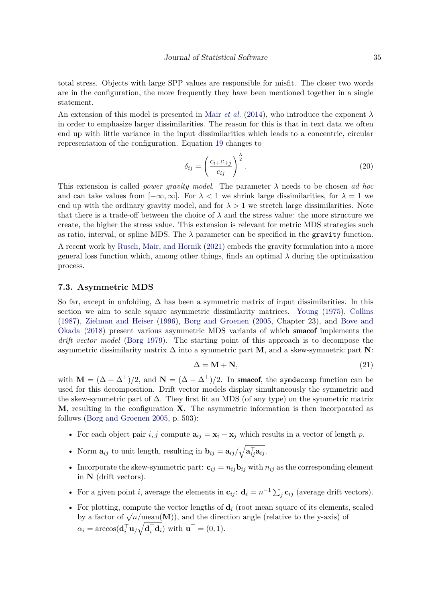total stress. Objects with large SPP values are responsible for misfit. The closer two words are in the configuration, the more frequently they have been mentioned together in a single statement.

An extension of this model is presented in Mair *[et al.](#page-43-12)* [\(2014\)](#page-43-12), who introduce the exponent  $\lambda$ in order to emphasize larger dissimilarities. The reason for this is that in text data we often end up with little variance in the input dissimilarities which leads to a concentric, circular representation of the configuration. Equation [19](#page-33-0) changes to

$$
\delta_{ij} = \left(\frac{c_{i+}c_{+j}}{c_{ij}}\right)^{\frac{\lambda}{2}}.\tag{20}
$$

This extension is called *power gravity model*. The parameter *λ* needs to be chosen *ad hoc* and can take values from  $[-\infty, \infty]$ . For  $\lambda < 1$  we shrink large dissimilarities, for  $\lambda = 1$  we end up with the ordinary gravity model, and for  $\lambda > 1$  we stretch large dissimilarities. Note that there is a trade-off between the choice of  $\lambda$  and the stress value: the more structure we create, the higher the stress value. This extension is relevant for metric MDS strategies such as ratio, interval, or spline MDS. The  $\lambda$  parameter can be specified in the gravity function. A recent work by [Rusch, Mair, and Hornik](#page-44-13) [\(2021\)](#page-44-13) embeds the gravity formulation into a more general loss function which, among other things, finds an optimal  $\lambda$  during the optimization process.

#### **7.3. Asymmetric MDS**

So far, except in unfolding,  $\Delta$  has been a symmetric matrix of input dissimilarities. In this section we aim to scale square asymmetric dissimilarity matrices. [Young](#page-45-7) [\(1975\)](#page-45-7), [Collins](#page-41-10) [\(1987\)](#page-41-10), [Zielman and Heiser](#page-45-8) [\(1996\)](#page-45-8), [Borg and Groenen](#page-40-0) [\(2005,](#page-40-0) Chapter 23), and [Bove and](#page-41-11) [Okada](#page-41-11) [\(2018\)](#page-41-11) present various asymmetric MDS variants of which smacof implements the *drift vector model* [\(Borg](#page-40-6) [1979\)](#page-40-6). The starting point of this approach is to decompose the asymmetric dissimilarity matrix ∆ into a symmetric part **M**, and a skew-symmetric part **N**:

<span id="page-34-0"></span>
$$
\Delta = \mathbf{M} + \mathbf{N},\tag{21}
$$

with  $\mathbf{M} = (\Delta + \Delta^{\top})/2$ , and  $\mathbf{N} = (\Delta - \Delta^{\top})/2$ . In smacof, the symdecomp function can be used for this decomposition. Drift vector models display simultaneously the symmetric and the skew-symmetric part of  $\Delta$ . They first fit an MDS (of any type) on the symmetric matrix **M**, resulting in the configuration **X**. The asymmetric information is then incorporated as follows [\(Borg and Groenen](#page-40-0) [2005,](#page-40-0) p. 503):

- For each object pair  $i, j$  compute  $\mathbf{a}_{ij} = \mathbf{x}_i \mathbf{x}_j$  which results in a vector of length p.
- Norm  $\mathbf{a}_{ij}$  to unit length, resulting in  $\mathbf{b}_{ij} = \mathbf{a}_{ij}/\sqrt{\mathbf{a}_{ij}^{\top} \mathbf{a}_{ij}}$ .
- Incorporate the skew-symmetric part:  $\mathbf{c}_{ij} = n_{ij} \mathbf{b}_{ij}$  with  $n_{ij}$  as the corresponding element in **N** (drift vectors).
- For a given point *i*, average the elements in  $\mathbf{c}_{ij}$ :  $\mathbf{d}_i = n^{-1} \sum_j \mathbf{c}_{ij}$  (average drift vectors).
- For plotting, compute the vector lengths of  $\mathbf{d}_i$  (root mean square of its elements, scaled by a factor of  $\sqrt{n}/\text{mean}(\mathbf{M})$ ), and the direction angle (relative to the y-axis) of  $\alpha_i = \arccos(\mathbf{d}_i^{\top} \mathbf{u}_{/\sqrt{\mathbf{d}_i^{\top} \mathbf{d}_i}})$  with  $\mathbf{u}^{\top} = (0, 1)$ .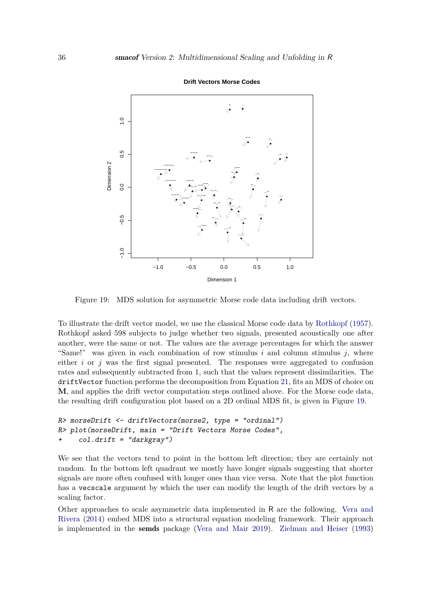

**Drift Vectors Morse Codes**

<span id="page-35-0"></span>Figure 19: MDS solution for asymmetric Morse code data including drift vectors.

To illustrate the drift vector model, we use the classical Morse code data by [Rothkopf](#page-44-14) [\(1957\)](#page-44-14). Rothkopf asked 598 subjects to judge whether two signals, presented acoustically one after another, were the same or not. The values are the average percentages for which the answer "Same!" was given in each combination of row stimulus *i* and column stimulus *j*, where either  $i$  or  $j$  was the first signal presented. The responses were aggregated to confusion rates and subsequently subtracted from 1, such that the values represent dissimilarities. The driftVector function performs the decomposition from Equation [21,](#page-34-0) fits an MDS of choice on **M**, and applies the drift vector computation steps outlined above. For the Morse code data, the resulting drift configuration plot based on a 2D ordinal MDS fit, is given in Figure [19.](#page-35-0)

```
R> morseDrift <- driftVectors(morse2, type = "ordinal")
R> plot(morseDrift, main = "Drift Vectors Morse Codes",
+ col.drift = "darkgray")
```
We see that the vectors tend to point in the bottom left direction; they are certainly not random. In the bottom left quadrant we mostly have longer signals suggesting that shorter signals are more often confused with longer ones than vice versa. Note that the plot function has a vecscale argument by which the user can modify the length of the drift vectors by a scaling factor.

Other approaches to scale asymmetric data implemented in R are the following. [Vera and](#page-45-9) [Rivera](#page-45-9) [\(2014\)](#page-45-9) embed MDS into a structural equation modeling framework. Their approach is implemented in the semds package [\(Vera and Mair](#page-45-10) [2019\)](#page-45-10). [Zielman and Heiser](#page-45-11) [\(1993\)](#page-45-11)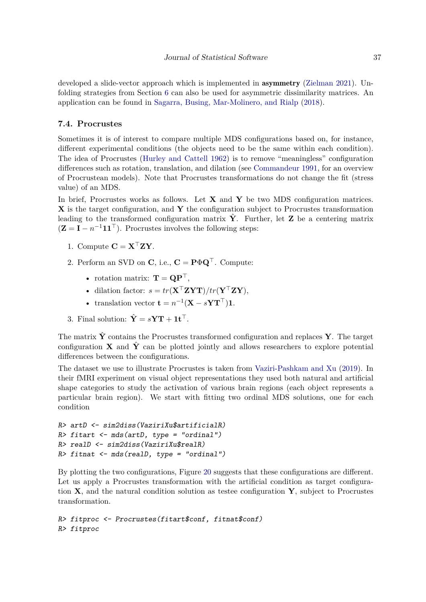developed a slide-vector approach which is implemented in asymmetry [\(Zielman](#page-45-12) [2021\)](#page-45-12). Unfolding strategies from Section [6](#page-22-0) can also be used for asymmetric dissimilarity matrices. An application can be found in [Sagarra, Busing, Mar-Molinero, and Rialp](#page-44-15) [\(2018\)](#page-44-15).

#### <span id="page-36-0"></span>**7.4. Procrustes**

Sometimes it is of interest to compare multiple MDS configurations based on, for instance, different experimental conditions (the objects need to be the same within each condition). The idea of Procrustes [\(Hurley and Cattell](#page-43-13) [1962\)](#page-43-13) is to remove "meaningless" configuration differences such as rotation, translation, and dilation (see [Commandeur](#page-41-12) [1991,](#page-41-12) for an overview of Procrustean models). Note that Procrustes transformations do not change the fit (stress value) of an MDS.

In brief, Procrustes works as follows. Let **X** and **Y** be two MDS configuration matrices. **X** is the target configuration, and **Y** the configuration subject to Procrustes transformation leading to the transformed configuration matrix  $\hat{Y}$ . Further, let **Z** be a centering matrix  $(\mathbf{Z} = \mathbf{I} - n^{-1} \mathbf{1} \mathbf{1}^\top)$ . Procrustes involves the following steps:

- 1. Compute  $\mathbf{C} = \mathbf{X}^\top \mathbf{Z} \mathbf{Y}$ .
- 2. Perform an SVD on **C**, i.e.,  $C = P \Phi Q^{\top}$ . Compute:
	- rotation matrix:  $\mathbf{T} = \mathbf{Q}\mathbf{P}^{\top}$ ,
	- dilation factor: *s* = *tr*(**X**⊤**ZYT**)*/tr*(**Y**⊤**ZY**),
	- translation vector  $\mathbf{t} = n^{-1}(\mathbf{X} s\mathbf{Y}\mathbf{T}^{\top})\mathbf{1}$ .
- 3. Final solution:  $\hat{\mathbf{Y}} = s\mathbf{Y}\mathbf{T} + \mathbf{1}\mathbf{t}^{\top}$ .

The matrix  $\hat{Y}$  contains the Procrustes transformed configuration and replaces  $Y$ . The target configuration **X** and  $\hat{Y}$  can be plotted jointly and allows researchers to explore potential differences between the configurations.

The dataset we use to illustrate Procrustes is taken from [Vaziri-Pashkam and Xu](#page-45-13) [\(2019\)](#page-45-13). In their fMRI experiment on visual object representations they used both natural and artificial shape categories to study the activation of various brain regions (each object represents a particular brain region). We start with fitting two ordinal MDS solutions, one for each condition

```
R> artD <- sim2diss(VaziriXu$artificialR)
R> fitart \leq mds(artD, type = "ordinal")
R> realD <- sim2diss(VaziriXu$realR)
R> fitnat \leq mds(realD, type = "ordinal")
```
By plotting the two configurations, Figure [20](#page-37-0) suggests that these configurations are different. Let us apply a Procrustes transformation with the artificial condition as target configuration **X**, and the natural condition solution as testee configuration **Y**, subject to Procrustes transformation.

```
R> fitproc <- Procrustes(fitart$conf, fitnat$conf)
R> fitproc
```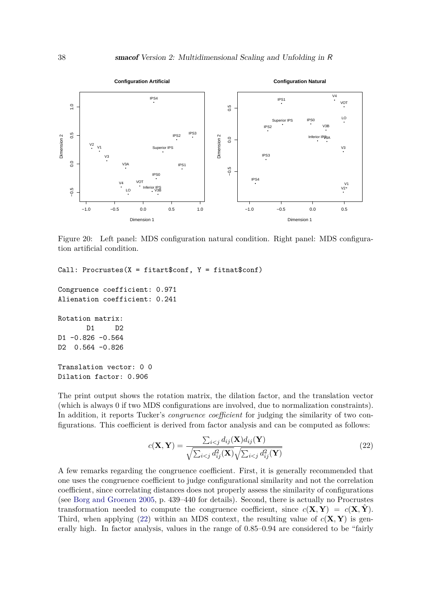

<span id="page-37-0"></span>Figure 20: Left panel: MDS configuration natural condition. Right panel: MDS configuration artificial condition.

Call: Procrustes( $X = \text{fitart}\$ sconf,  $Y = \text{fitnat}\$ sconf)

Congruence coefficient: 0.971 Alienation coefficient: 0.241

Rotation matrix: D1 D2 D1 -0.826 -0.564

D2 0.564 -0.826

Translation vector: 0 0 Dilation factor: 0.906

The print output shows the rotation matrix, the dilation factor, and the translation vector (which is always 0 if two MDS configurations are involved, due to normalization constraints). In addition, it reports Tucker's *congruence coefficient* for judging the similarity of two configurations. This coefficient is derived from factor analysis and can be computed as follows:

<span id="page-37-1"></span>
$$
c(\mathbf{X}, \mathbf{Y}) = \frac{\sum_{i < j} d_{ij}(\mathbf{X}) d_{ij}(\mathbf{Y})}{\sqrt{\sum_{i < j} d_{ij}^2(\mathbf{X})} \sqrt{\sum_{i < j} d_{ij}^2(\mathbf{Y})}}\tag{22}
$$

A few remarks regarding the congruence coefficient. First, it is generally recommended that one uses the congruence coefficient to judge configurational similarity and not the correlation coefficient, since correlating distances does not properly assess the similarity of configurations (see [Borg and Groenen](#page-40-0) [2005,](#page-40-0) p. 439–440 for details). Second, there is actually no Procrustes transformation needed to compute the congruence coefficient, since  $c(\mathbf{X}, \mathbf{Y}) = c(\mathbf{X}, \mathbf{Y})$ . Third, when applying [\(22\)](#page-37-1) within an MDS context, the resulting value of  $c(\mathbf{X}, \mathbf{Y})$  is generally high. In factor analysis, values in the range of 0.85–0.94 are considered to be "fairly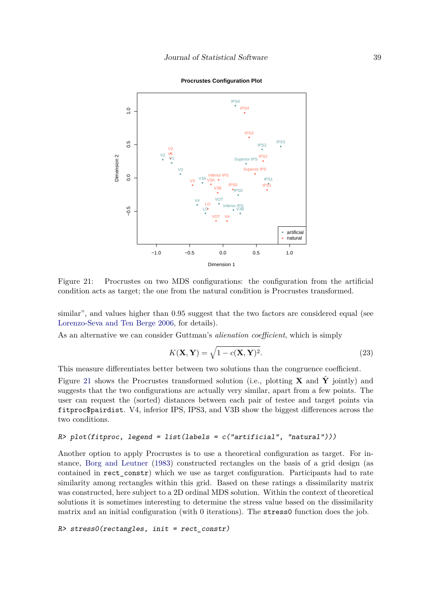

**Procrustes Configuration Plot**

<span id="page-38-0"></span>Figure 21: Procrustes on two MDS configurations: the configuration from the artificial condition acts as target; the one from the natural condition is Procrustes transformed.

similar", and values higher than 0.95 suggest that the two factors are considered equal (see [Lorenzo-Seva and Ten Berge](#page-43-14) [2006,](#page-43-14) for details).

As an alternative we can consider Guttman's *alienation coefficient*, which is simply

$$
K(\mathbf{X}, \mathbf{Y}) = \sqrt{1 - c(\mathbf{X}, \mathbf{Y})^2}.
$$
\n(23)

This measure differentiates better between two solutions than the congruence coefficient.

Figure [21](#page-38-0) shows the Procrustes transformed solution (i.e., plotting **X** and  $\hat{\mathbf{Y}}$  jointly) and suggests that the two configurations are actually very similar, apart from a few points. The user can request the (sorted) distances between each pair of testee and target points via fitproc\$pairdist. V4, inferior IPS, IPS3, and V3B show the biggest differences across the two conditions.

#### $R$ > plot(fitproc, legend = list(labels = c("artificial", "natural")))

Another option to apply Procrustes is to use a theoretical configuration as target. For instance, [Borg and Leutner](#page-40-7) [\(1983\)](#page-40-7) constructed rectangles on the basis of a grid design (as contained in rect\_constr) which we use as target configuration. Participants had to rate similarity among rectangles within this grid. Based on these ratings a dissimilarity matrix was constructed, here subject to a 2D ordinal MDS solution. Within the context of theoretical solutions it is sometimes interesting to determine the stress value based on the dissimilarity matrix and an initial configuration (with  $0$  iterations). The stress  $0$  function does the job.

R> stress0(rectangles, init = rect\_constr)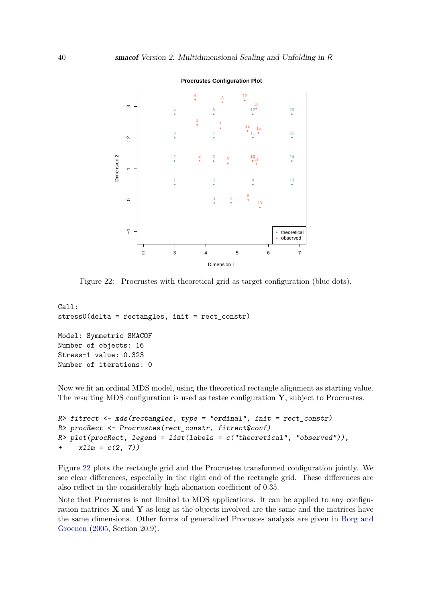

<span id="page-39-0"></span>Figure 22: Procrustes with theoretical grid as target configuration (blue dots).

```
Call:
stress0(delta = rectangles, init = rect_constr)
Model: Symmetric SMACOF
Number of objects: 16
Stress-1 value: 0.323
Number of iterations: 0
```
Now we fit an ordinal MDS model, using the theoretical rectangle alignment as starting value. The resulting MDS configuration is used as testee configuration **Y**, subject to Procrustes.

```
R> fitrect \leq mds(rectangles, type = "ordinal", init = rect_constr)
R> procRect <- Procrustes(rect_constr, fitrect$conf)
R> plot(procRect, legend = list(labels = c("theoretical", "observed")),
+ x \lim = c(2, 7)
```
Figure [22](#page-39-0) plots the rectangle grid and the Procrustes transformed configuration jointly. We see clear differences, especially in the right end of the rectangle grid. These differences are also reflect in the considerably high alienation coefficient of 0.35.

Note that Procrustes is not limited to MDS applications. It can be applied to any configuration matrices **X** and **Y** as long as the objects involved are the same and the matrices have the same dimensions. Other forms of generalized Procustes analysis are given in [Borg and](#page-40-0) [Groenen](#page-40-0) [\(2005,](#page-40-0) Section 20.9).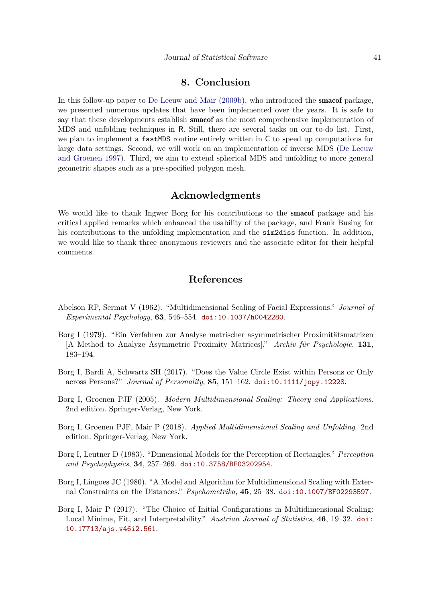# **8. Conclusion**

In this follow-up paper to [De Leeuw and Mair](#page-42-0) [\(2009b\)](#page-42-0), who introduced the smacof package, we presented numerous updates that have been implemented over the years. It is safe to say that these developments establish **smacof** as the most comprehensive implementation of MDS and unfolding techniques in R. Still, there are several tasks on our to-do list. First, we plan to implement a fastMDS routine entirely written in C to speed up computations for large data settings. Second, we will work on an implementation of inverse MDS [\(De Leeuw](#page-41-13) [and Groenen](#page-41-13) [1997\)](#page-41-13). Third, we aim to extend spherical MDS and unfolding to more general geometric shapes such as a pre-specified polygon mesh.

# **Acknowledgments**

We would like to thank Ingwer Borg for his contributions to the **smacof** package and his critical applied remarks which enhanced the usability of the package, and Frank Busing for his contributions to the unfolding implementation and the **sim2diss** function. In addition, we would like to thank three anonymous reviewers and the associate editor for their helpful comments.

# **References**

- <span id="page-40-3"></span>Abelson RP, Sermat V (1962). "Multidimensional Scaling of Facial Expressions." *Journal of Experimental Psychology*, **63**, 546–554. [doi:10.1037/h0042280](https://doi.org/10.1037/h0042280).
- <span id="page-40-6"></span>Borg I (1979). "Ein Verfahren zur Analyse metrischer asymmetrischer Proximitätsmatrizen [A Method to Analyze Asymmetric Proximity Matrices]." *Archiv für Psychologie*, **131**, 183–194.
- <span id="page-40-5"></span>Borg I, Bardi A, Schwartz SH (2017). "Does the Value Circle Exist within Persons or Only across Persons?" *Journal of Personality*, **85**, 151–162. [doi:10.1111/jopy.12228](https://doi.org/10.1111/jopy.12228).
- <span id="page-40-0"></span>Borg I, Groenen PJF (2005). *Modern Multidimensional Scaling: Theory and Applications*. 2nd edition. Springer-Verlag, New York.
- <span id="page-40-2"></span>Borg I, Groenen PJF, Mair P (2018). *Applied Multidimensional Scaling and Unfolding*. 2nd edition. Springer-Verlag, New York.
- <span id="page-40-7"></span>Borg I, Leutner D (1983). "Dimensional Models for the Perception of Rectangles." *Perception and Psychophysics*, **34**, 257–269. [doi:10.3758/BF03202954](https://doi.org/10.3758/BF03202954).
- <span id="page-40-4"></span>Borg I, Lingoes JC (1980). "A Model and Algorithm for Multidimensional Scaling with External Constraints on the Distances." *Psychometrika*, **45**, 25–38. [doi:10.1007/BF02293597](https://doi.org/10.1007/BF02293597).
- <span id="page-40-1"></span>Borg I, Mair P (2017). "The Choice of Initial Configurations in Multidimensional Scaling: Local Minima, Fit, and Interpretability." *Austrian Journal of Statistics*, **46**, 19–32. [doi:](https://doi.org/10.17713/ajs.v46i2.561) [10.17713/ajs.v46i2.561](https://doi.org/10.17713/ajs.v46i2.561).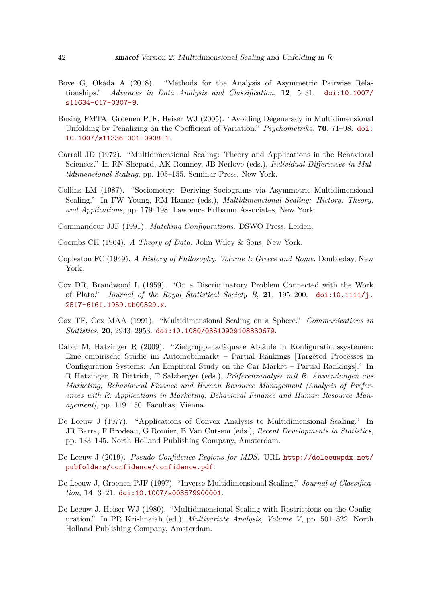- <span id="page-41-11"></span>Bove G, Okada A (2018). "Methods for the Analysis of Asymmetric Pairwise Relationships." *Advances in Data Analysis and Classification*, **12**, 5–31. [doi:10.1007/](https://doi.org/10.1007/s11634-017-0307-9) [s11634-017-0307-9](https://doi.org/10.1007/s11634-017-0307-9).
- <span id="page-41-1"></span>Busing FMTA, Groenen PJF, Heiser WJ (2005). "Avoiding Degeneracy in Multidimensional Unfolding by Penalizing on the Coefficient of Variation." *Psychometrika*, **70**, 71–98. [doi:](https://doi.org/10.1007/s11336-001-0908-1) [10.1007/s11336-001-0908-1](https://doi.org/10.1007/s11336-001-0908-1).
- <span id="page-41-6"></span>Carroll JD (1972). "Multidimensional Scaling: Theory and Applications in the Behavioral Sciences." In RN Shepard, AK Romney, JB Nerlove (eds.), *Individual Differences in Multidimensional Scaling*, pp. 105–155. Seminar Press, New York.
- <span id="page-41-10"></span>Collins LM (1987). "Sociometry: Deriving Sociograms via Asymmetric Multidimensional Scaling." In FW Young, RM Hamer (eds.), *Multidimensional Scaling: History, Theory, and Applications*, pp. 179–198. Lawrence Erlbaum Associates, New York.

<span id="page-41-12"></span>Commandeur JJF (1991). *Matching Configurations*. DSWO Press, Leiden.

- <span id="page-41-0"></span>Coombs CH (1964). *A Theory of Data*. John Wiley & Sons, New York.
- <span id="page-41-9"></span>Copleston FC (1949). *A History of Philosophy. Volume I: Greece and Rome*. Doubleday, New York.
- <span id="page-41-8"></span>Cox DR, Brandwood L (1959). "On a Discriminatory Problem Connected with the Work of Plato." *Journal of the Royal Statistical Society B*, **21**, 195–200. [doi:10.1111/j.](https://doi.org/10.1111/j.2517-6161.1959.tb00329.x) [2517-6161.1959.tb00329.x](https://doi.org/10.1111/j.2517-6161.1959.tb00329.x).
- <span id="page-41-7"></span>Cox TF, Cox MAA (1991). "Multidimensional Scaling on a Sphere." *Communications in Statistics*, **20**, 2943–2953. [doi:10.1080/03610929108830679](https://doi.org/10.1080/03610929108830679).
- <span id="page-41-5"></span>Dabic M, Hatzinger R (2009). "Zielgruppenadäquate Abläufe in Konfigurationssystemen: Eine empirische Studie im Automobilmarkt – Partial Rankings [Targeted Processes in Configuration Systems: An Empirical Study on the Car Market – Partial Rankings]." In R Hatzinger, R Dittrich, T Salzberger (eds.), *Präferenzanalyse mit* R*: Anwendungen aus Marketing, Behavioural Finance und Human Resource Management [Analysis of Preferences with* R*: Applications in Marketing, Behavioral Finance and Human Resource Management]*, pp. 119–150. Facultas, Vienna.
- <span id="page-41-2"></span>De Leeuw J (1977). "Applications of Convex Analysis to Multidimensional Scaling." In JR Barra, F Brodeau, G Romier, B Van Cutsem (eds.), *Recent Developments in Statistics*, pp. 133–145. North Holland Publishing Company, Amsterdam.
- <span id="page-41-3"></span>De Leeuw J (2019). *Pseudo Confidence Regions for MDS*. URL [http://deleeuwpdx.net/](http://deleeuwpdx.net/pubfolders/confidence/confidence.pdf) [pubfolders/confidence/confidence.pdf](http://deleeuwpdx.net/pubfolders/confidence/confidence.pdf).
- <span id="page-41-13"></span>De Leeuw J, Groenen PJF (1997). "Inverse Multidimensional Scaling." *Journal of Classification*, **14**, 3–21. [doi:10.1007/s003579900001](https://doi.org/10.1007/s003579900001).
- <span id="page-41-4"></span>De Leeuw J, Heiser WJ (1980). "Multidimensional Scaling with Restrictions on the Configuration." In PR Krishnaiah (ed.), *Multivariate Analysis, Volume V*, pp. 501–522. North Holland Publishing Company, Amsterdam.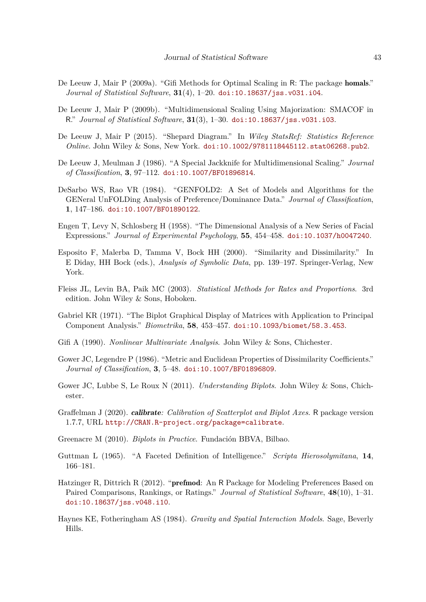- <span id="page-42-15"></span>De Leeuw J, Mair P (2009a). "Gifi Methods for Optimal Scaling in R: The package homals." *Journal of Statistical Software*, **31**(4), 1–20. [doi:10.18637/jss.v031.i04](https://doi.org/10.18637/jss.v031.i04).
- <span id="page-42-0"></span>De Leeuw J, Mair P (2009b). "Multidimensional Scaling Using Majorization: SMACOF in R." *Journal of Statistical Software*, **31**(3), 1–30. [doi:10.18637/jss.v031.i03](https://doi.org/10.18637/jss.v031.i03).
- <span id="page-42-5"></span>De Leeuw J, Mair P (2015). "Shepard Diagram." In *Wiley StatsRef: Statistics Reference Online*. John Wiley & Sons, New York. [doi:10.1002/9781118445112.stat06268.pub2](https://doi.org/10.1002/9781118445112.stat06268.pub2).
- <span id="page-42-6"></span>De Leeuw J, Meulman J (1986). "A Special Jackknife for Multidimensional Scaling." *Journal of Classification*, **3**, 97–112. [doi:10.1007/BF01896814](https://doi.org/10.1007/BF01896814).
- <span id="page-42-13"></span>DeSarbo WS, Rao VR (1984). "GENFOLD2: A Set of Models and Algorithms for the GENeral UnFOLDing Analysis of Preference/Dominance Data." *Journal of Classification*, **1**, 147–186. [doi:10.1007/BF01890122](https://doi.org/10.1007/BF01890122).
- <span id="page-42-10"></span>Engen T, Levy N, Schlosberg H (1958). "The Dimensional Analysis of a New Series of Facial Expressions." *Journal of Experimental Psychology*, **55**, 454–458. [doi:10.1037/h0047240](https://doi.org/10.1037/h0047240).
- <span id="page-42-2"></span>Esposito F, Malerba D, Tamma V, Bock HH (2000). "Similarity and Dissimilarity." In E Diday, HH Bock (eds.), *Analysis of Symbolic Data*, pp. 139–197. Springer-Verlag, New York.
- <span id="page-42-3"></span>Fleiss JL, Levin BA, Paik MC (2003). *Statistical Methods for Rates and Proportions*. 3rd edition. John Wiley & Sons, Hoboken.
- <span id="page-42-7"></span>Gabriel KR (1971). "The Biplot Graphical Display of Matrices with Application to Principal Component Analysis." *Biometrika*, **58**, 453–457. [doi:10.1093/biomet/58.3.453](https://doi.org/10.1093/biomet/58.3.453).
- <span id="page-42-14"></span>Gifi A (1990). *Nonlinear Multivariate Analysis*. John Wiley & Sons, Chichester.
- <span id="page-42-1"></span>Gower JC, Legendre P (1986). "Metric and Euclidean Properties of Dissimilarity Coefficients." *Journal of Classification*, **3**, 5–48. [doi:10.1007/BF01896809](https://doi.org/10.1007/BF01896809).
- <span id="page-42-9"></span>Gower JC, Lubbe S, Le Roux N (2011). *Understanding Biplots*. John Wiley & Sons, Chichester.
- <span id="page-42-11"></span>Graffelman J (2020). calibrate*: Calibration of Scatterplot and Biplot Axes*. R package version 1.7.7, URL <http://CRAN.R-project.org/package=calibrate>.
- <span id="page-42-8"></span>Greenacre M (2010). *Biplots in Practice*. Fundación BBVA, Bilbao.
- <span id="page-42-4"></span>Guttman L (1965). "A Faceted Definition of Intelligence." *Scripta Hierosolymitana*, **14**, 166–181.
- <span id="page-42-12"></span>Hatzinger R, Dittrich R (2012). "prefmod: An R Package for Modeling Preferences Based on Paired Comparisons, Rankings, or Ratings." *Journal of Statistical Software*, **48**(10), 1–31. [doi:10.18637/jss.v048.i10](https://doi.org/10.18637/jss.v048.i10).
- <span id="page-42-16"></span>Haynes KE, Fotheringham AS (1984). *Gravity and Spatial Interaction Models*. Sage, Beverly Hills.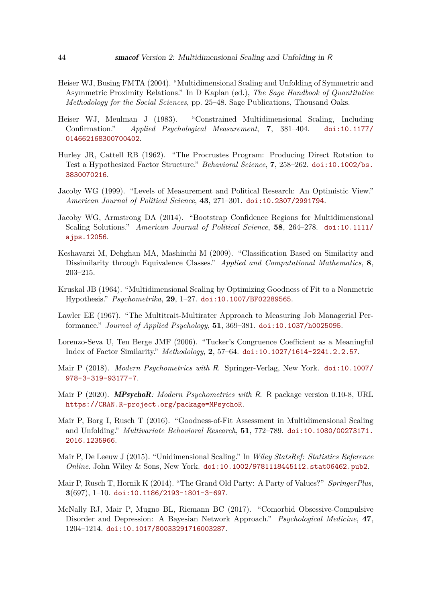- <span id="page-43-1"></span>Heiser WJ, Busing FMTA (2004). "Multidimensional Scaling and Unfolding of Symmetric and Asymmetric Proximity Relations." In D Kaplan (ed.), *The Sage Handbook of Quantitative Methodology for the Social Sciences*, pp. 25–48. Sage Publications, Thousand Oaks.
- <span id="page-43-8"></span>Heiser WJ, Meulman J (1983). "Constrained Multidimensional Scaling, Including Confirmation." *Applied Psychological Measurement*, **7**, 381–404. [doi:10.1177/](https://doi.org/10.1177/014662168300700402) [014662168300700402](https://doi.org/10.1177/014662168300700402).
- <span id="page-43-13"></span>Hurley JR, Cattell RB (1962). "The Procrustes Program: Producing Direct Rotation to Test a Hypothesized Factor Structure." *Behavioral Science*, **7**, 258–262. [doi:10.1002/bs.](https://doi.org/10.1002/bs.3830070216) [3830070216](https://doi.org/10.1002/bs.3830070216).
- <span id="page-43-3"></span>Jacoby WG (1999). "Levels of Measurement and Political Research: An Optimistic View." *American Journal of Political Science*, **43**, 271–301. [doi:10.2307/2991794](https://doi.org/10.2307/2991794).
- <span id="page-43-9"></span>Jacoby WG, Armstrong DA (2014). "Bootstrap Confidence Regions for Multidimensional Scaling Solutions." *American Journal of Political Science*, **58**, 264–278. [doi:10.1111/](https://doi.org/10.1111/ajps.12056) [ajps.12056](https://doi.org/10.1111/ajps.12056).
- <span id="page-43-2"></span>Keshavarzi M, Dehghan MA, Mashinchi M (2009). "Classification Based on Similarity and Dissimilarity through Equivalence Classes." *Applied and Computational Mathematics*, **8**, 203–215.
- <span id="page-43-0"></span>Kruskal JB (1964). "Multidimensional Scaling by Optimizing Goodness of Fit to a Nonmetric Hypothesis." *Psychometrika*, **29**, 1–27. [doi:10.1007/BF02289565](https://doi.org/10.1007/BF02289565).
- <span id="page-43-5"></span>Lawler EE (1967). "The Multitrait-Multirater Approach to Measuring Job Managerial Performance." *Journal of Applied Psychology*, **51**, 369–381. [doi:10.1037/h0025095](https://doi.org/10.1037/h0025095).
- <span id="page-43-14"></span>Lorenzo-Seva U, Ten Berge JMF (2006). "Tucker's Congruence Coefficient as a Meaningful Index of Factor Similarity." *Methodology*, **2**, 57–64. [doi:10.1027/1614-2241.2.2.57](https://doi.org/10.1027/1614-2241.2.2.57).
- <span id="page-43-10"></span>Mair P (2018). *Modern Psychometrics with* R. Springer-Verlag, New York. [doi:10.1007/](https://doi.org/10.1007/978-3-319-93177-7) [978-3-319-93177-7](https://doi.org/10.1007/978-3-319-93177-7).
- <span id="page-43-6"></span>Mair P (2020). MPsychoR*: Modern Psychometrics with* R. R package version 0.10-8, URL <https://CRAN.R-project.org/package=MPsychoR>.
- <span id="page-43-4"></span>Mair P, Borg I, Rusch T (2016). "Goodness-of-Fit Assessment in Multidimensional Scaling and Unfolding." *Multivariate Behavioral Research*, **51**, 772–789. [doi:10.1080/00273171.](https://doi.org/10.1080/00273171.2016.1235966) [2016.1235966](https://doi.org/10.1080/00273171.2016.1235966).
- <span id="page-43-11"></span>Mair P, De Leeuw J (2015). "Unidimensional Scaling." In *Wiley StatsRef: Statistics Reference Online*. John Wiley & Sons, New York. [doi:10.1002/9781118445112.stat06462.pub2](https://doi.org/10.1002/9781118445112.stat06462.pub2).
- <span id="page-43-12"></span>Mair P, Rusch T, Hornik K (2014). "The Grand Old Party: A Party of Values?" *SpringerPlus*, **3**(697), 1–10. [doi:10.1186/2193-1801-3-697](https://doi.org/10.1186/2193-1801-3-697).
- <span id="page-43-7"></span>McNally RJ, Mair P, Mugno BL, Riemann BC (2017). "Comorbid Obsessive-Compulsive Disorder and Depression: A Bayesian Network Approach." *Psychological Medicine*, **47**, 1204–1214. [doi:10.1017/S0033291716003287](https://doi.org/10.1017/S0033291716003287).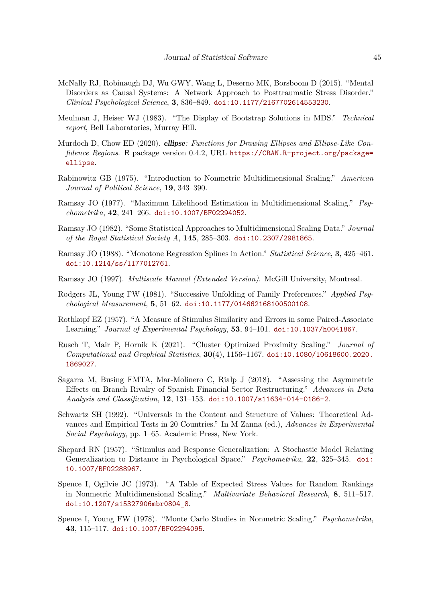- <span id="page-44-5"></span>McNally RJ, Robinaugh DJ, Wu GWY, Wang L, Deserno MK, Borsboom D (2015). "Mental Disorders as Causal Systems: A Network Approach to Posttraumatic Stress Disorder." *Clinical Psychological Science*, **3**, 836–849. [doi:10.1177/2167702614553230](https://doi.org/10.1177/2167702614553230).
- <span id="page-44-6"></span>Meulman J, Heiser WJ (1983). "The Display of Bootstrap Solutions in MDS." *Technical report*, Bell Laboratories, Murray Hill.
- <span id="page-44-7"></span>Murdoch D, Chow ED (2020). ellipse*: Functions for Drawing Ellipses and Ellipse-Like Confidence Regions*. R package version 0.4.2, URL [https://CRAN.R-project.org/package=](https://CRAN.R-project.org/package=ellipse) [ellipse](https://CRAN.R-project.org/package=ellipse).
- <span id="page-44-10"></span>Rabinowitz GB (1975). "Introduction to Nonmetric Multidimensional Scaling." *American Journal of Political Science*, **19**, 343–390.
- <span id="page-44-8"></span>Ramsay JO (1977). "Maximum Likelihood Estimation in Multidimensional Scaling." *Psychometrika*, **42**, 241–266. [doi:10.1007/BF02294052](https://doi.org/10.1007/BF02294052).
- <span id="page-44-9"></span>Ramsay JO (1982). "Some Statistical Approaches to Multidimensional Scaling Data." *Journal of the Royal Statistical Society A*, **145**, 285–303. [doi:10.2307/2981865](https://doi.org/10.2307/2981865).
- <span id="page-44-2"></span>Ramsay JO (1988). "Monotone Regression Splines in Action." *Statistical Science*, **3**, 425–461. [doi:10.1214/ss/1177012761](https://doi.org/10.1214/ss/1177012761).
- <span id="page-44-1"></span>Ramsay JO (1997). *Multiscale Manual (Extended Version)*. McGill University, Montreal.
- <span id="page-44-11"></span>Rodgers JL, Young FW (1981). "Successive Unfolding of Family Preferences." *Applied Psychological Measurement*, **5**, 51–62. [doi:10.1177/014662168100500108](https://doi.org/10.1177/014662168100500108).
- <span id="page-44-14"></span>Rothkopf EZ (1957). "A Measure of Stimulus Similarity and Errors in some Paired-Associate Learning." *Journal of Experimental Psychology*, **53**, 94–101. [doi:10.1037/h0041867](https://doi.org/10.1037/h0041867).
- <span id="page-44-13"></span>Rusch T, Mair P, Hornik K (2021). "Cluster Optimized Proximity Scaling." *Journal of Computational and Graphical Statistics*, **30**(4), 1156–1167. [doi:10.1080/10618600.2020.](https://doi.org/10.1080/10618600.2020.1869027) [1869027](https://doi.org/10.1080/10618600.2020.1869027).
- <span id="page-44-15"></span>Sagarra M, Busing FMTA, Mar-Molinero C, Rialp J (2018). "Assessing the Asymmetric Effects on Branch Rivalry of Spanish Financial Sector Restructuring." *Advances in Data Analysis and Classification*, **12**, 131–153. [doi:10.1007/s11634-014-0186-2](https://doi.org/10.1007/s11634-014-0186-2).
- <span id="page-44-12"></span>Schwartz SH (1992). "Universals in the Content and Structure of Values: Theoretical Advances and Empirical Tests in 20 Countries." In M Zanna (ed.), *Advances in Experimental Social Psychology*, pp. 1–65. Academic Press, New York.
- <span id="page-44-0"></span>Shepard RN (1957). "Stimulus and Response Generalization: A Stochastic Model Relating Generalization to Distance in Psychological Space." *Psychometrika*, **22**, 325–345. [doi:](https://doi.org/10.1007/BF02288967) [10.1007/BF02288967](https://doi.org/10.1007/BF02288967).
- <span id="page-44-4"></span>Spence I, Ogilvie JC (1973). "A Table of Expected Stress Values for Random Rankings in Nonmetric Multidimensional Scaling." *Multivariate Behavioral Research*, **8**, 511–517. [doi:10.1207/s15327906mbr0804\\_8](https://doi.org/10.1207/s15327906mbr0804_8).
- <span id="page-44-3"></span>Spence I, Young FW (1978). "Monte Carlo Studies in Nonmetric Scaling." *Psychometrika*, **43**, 115–117. [doi:10.1007/BF02294095](https://doi.org/10.1007/BF02294095).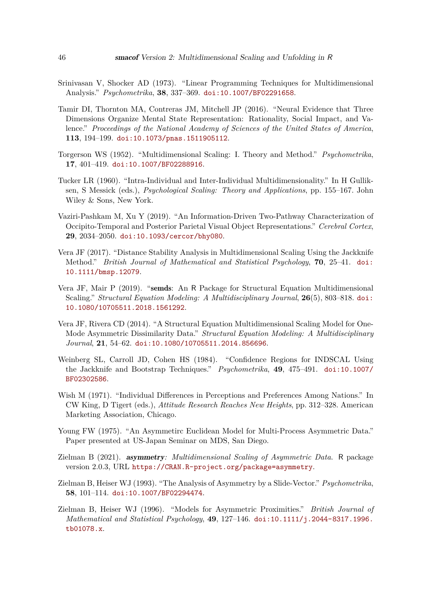- <span id="page-45-5"></span>Srinivasan V, Shocker AD (1973). "Linear Programming Techniques for Multidimensional Analysis." *Psychometrika*, **38**, 337–369. [doi:10.1007/BF02291658](https://doi.org/10.1007/BF02291658).
- <span id="page-45-4"></span>Tamir DI, Thornton MA, Contreras JM, Mitchell JP (2016). "Neural Evidence that Three Dimensions Organize Mental State Representation: Rationality, Social Impact, and Valence." *Proceedings of the National Academy of Sciences of the United States of America*, **113**, 194–199. [doi:10.1073/pnas.1511905112](https://doi.org/10.1073/pnas.1511905112).
- <span id="page-45-0"></span>Torgerson WS (1952). "Multidimensional Scaling: I. Theory and Method." *Psychometrika*, **17**, 401–419. [doi:10.1007/BF02288916](https://doi.org/10.1007/BF02288916).
- <span id="page-45-6"></span>Tucker LR (1960). "Intra-Individual and Inter-Individual Multidimensionality." In H Gulliksen, S Messick (eds.), *Psychological Scaling: Theory and Applications*, pp. 155–167. John Wiley & Sons, New York.
- <span id="page-45-13"></span>Vaziri-Pashkam M, Xu Y (2019). "An Information-Driven Two-Pathway Characterization of Occipito-Temporal and Posterior Parietal Visual Object Representations." *Cerebral Cortex*, **29**, 2034–2050. [doi:10.1093/cercor/bhy080](https://doi.org/10.1093/cercor/bhy080).
- <span id="page-45-2"></span>Vera JF (2017). "Distance Stability Analysis in Multidimensional Scaling Using the Jackknife Method." *British Journal of Mathematical and Statistical Psychology*, **70**, 25–41. [doi:](https://doi.org/10.1111/bmsp.12079) [10.1111/bmsp.12079](https://doi.org/10.1111/bmsp.12079).
- <span id="page-45-10"></span>Vera JF, Mair P (2019). "semds: An R Package for Structural Equation Multidimensional Scaling." *Structural Equation Modeling: A Multidisciplinary Journal*, **26**(5), 803–818. [doi:](https://doi.org/10.1080/10705511.2018.1561292) [10.1080/10705511.2018.1561292](https://doi.org/10.1080/10705511.2018.1561292).
- <span id="page-45-9"></span>Vera JF, Rivera CD (2014). "A Structural Equation Multidimensional Scaling Model for One-Mode Asymmetric Dissimilarity Data." *Structural Equation Modeling: A Multidisciplinary Journal*, **21**, 54–62. [doi:10.1080/10705511.2014.856696](https://doi.org/10.1080/10705511.2014.856696).
- <span id="page-45-3"></span>Weinberg SL, Carroll JD, Cohen HS (1984). "Confidence Regions for INDSCAL Using the Jackknife and Bootstrap Techniques." *Psychometrika*, **49**, 475–491. [doi:10.1007/](https://doi.org/10.1007/BF02302586) [BF02302586](https://doi.org/10.1007/BF02302586).
- <span id="page-45-1"></span>Wish M (1971). "Individual Differences in Perceptions and Preferences Among Nations." In CW King, D Tigert (eds.), *Attitude Research Reaches New Heights*, pp. 312–328. American Marketing Association, Chicago.
- <span id="page-45-7"></span>Young FW (1975). "An Asymmetirc Euclidean Model for Multi-Process Asymmetric Data." Paper presented at US-Japan Seminar on MDS, San Diego.
- <span id="page-45-12"></span>Zielman B (2021). asymmetry*: Multidimensional Scaling of Asymmetric Data*. R package version 2.0.3, URL <https://CRAN.R-project.org/package=asymmetry>.
- <span id="page-45-11"></span>Zielman B, Heiser WJ (1993). "The Analysis of Asymmetry by a Slide-Vector." *Psychometrika*, **58**, 101–114. [doi:10.1007/BF02294474](https://doi.org/10.1007/BF02294474).
- <span id="page-45-8"></span>Zielman B, Heiser WJ (1996). "Models for Asymmetric Proximities." *British Journal of Mathematical and Statistical Psychology*, **49**, 127–146. [doi:10.1111/j.2044-8317.1996.](https://doi.org/10.1111/j.2044-8317.1996.tb01078.x) [tb01078.x](https://doi.org/10.1111/j.2044-8317.1996.tb01078.x).